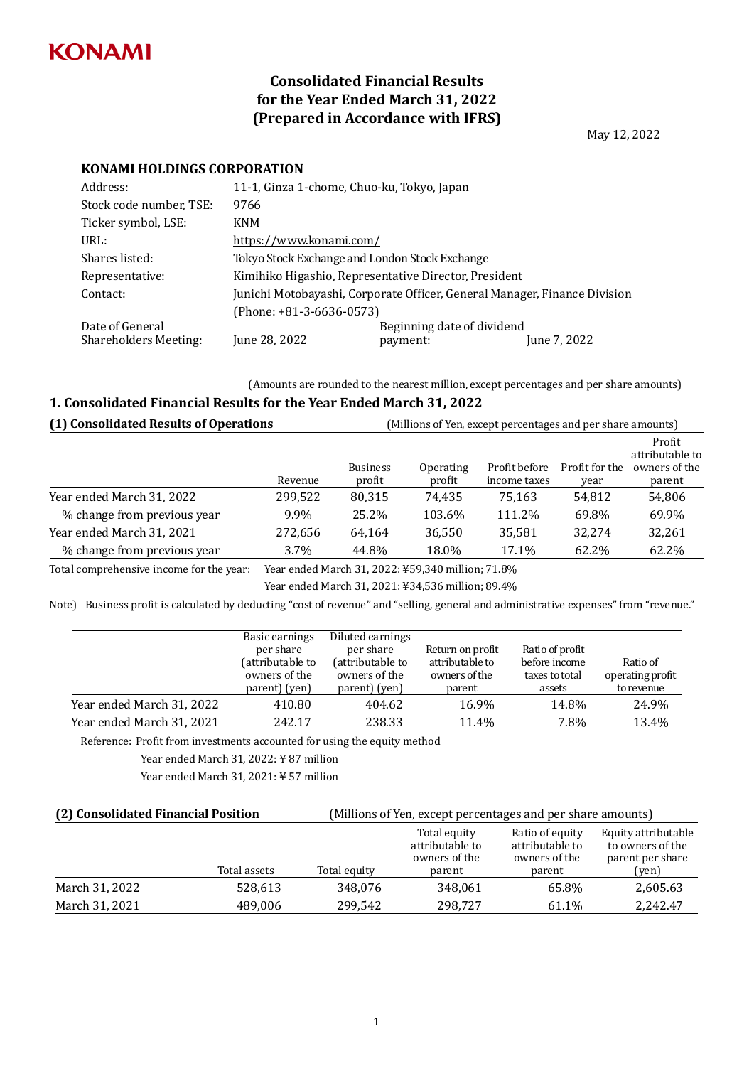

# **Consolidated Financial Results for the Year Ended March 31, 2022 (Prepared in Accordance with IFRS)**

May 12, 2022

### **KONAMI HOLDINGS CORPORATION**

| Address:                                        | 11-1, Ginza 1-chome, Chuo-ku, Tokyo, Japan     |                                                                           |              |  |
|-------------------------------------------------|------------------------------------------------|---------------------------------------------------------------------------|--------------|--|
| Stock code number, TSE:                         | 9766                                           |                                                                           |              |  |
| Ticker symbol, LSE:                             | <b>KNM</b>                                     |                                                                           |              |  |
| URL:                                            | https://www.konami.com/                        |                                                                           |              |  |
| Shares listed:                                  | Tokyo Stock Exchange and London Stock Exchange |                                                                           |              |  |
| Representative:                                 |                                                | Kimihiko Higashio, Representative Director, President                     |              |  |
| Contact:                                        |                                                | Junichi Motobayashi, Corporate Officer, General Manager, Finance Division |              |  |
|                                                 | $(Phone: +81-3-6636-0573)$                     |                                                                           |              |  |
| Date of General<br><b>Shareholders Meeting:</b> | June 28, 2022                                  | Beginning date of dividend<br>payment:                                    | June 7, 2022 |  |

(Amounts are rounded to the nearest million, except percentages and per share amounts)

#### **1. Consolidated Financial Results for the Year Ended March 31, 2022**

| (1) Consolidated Results of Operations |         | (Millions of Yen, except percentages and per share amounts) |                     |                               |                        |                                                      |
|----------------------------------------|---------|-------------------------------------------------------------|---------------------|-------------------------------|------------------------|------------------------------------------------------|
|                                        | Revenue | <b>Business</b><br>profit                                   | Operating<br>profit | Profit before<br>income taxes | Profit for the<br>year | Profit<br>attributable to<br>owners of the<br>parent |
| Year ended March 31, 2022              | 299,522 | 80,315                                                      | 74.435              | 75.163                        | 54,812                 | 54,806                                               |
| % change from previous year            | 9.9%    | 25.2%                                                       | 103.6%              | 111.2%                        | 69.8%                  | 69.9%                                                |
| Year ended March 31, 2021              | 272,656 | 64,164                                                      | 36,550              | 35,581                        | 32.274                 | 32,261                                               |
| % change from previous year            | $3.7\%$ | 44.8%                                                       | 18.0%               | 17.1%                         | 62.2%                  | 62.2%                                                |

Total comprehensive income for the year: Year ended March 31, 2022: ¥59,340 million; 71.8%

Year ended March 31, 2021: ¥34,536 million; 89.4%

Note) Business profit is calculated by deducting "cost of revenue" and "selling, general and administrative expenses" from "revenue."

|                           | Basic earnings<br>per share<br>(attributable to<br>owners of the<br>parent) (yen) | Diluted earnings<br>per share<br>(attributable to<br>owners of the<br>parent) (yen) | Return on profit<br>attributable to<br>owners of the<br>parent | Ratio of profit<br>before income<br>taxes to total<br>assets | Ratio of<br>operating profit<br>to revenue |
|---------------------------|-----------------------------------------------------------------------------------|-------------------------------------------------------------------------------------|----------------------------------------------------------------|--------------------------------------------------------------|--------------------------------------------|
| Year ended March 31, 2022 | 410.80                                                                            | 404.62                                                                              | 16.9%                                                          | 14.8%                                                        | 24.9%                                      |
| Year ended March 31, 2021 | 242.17                                                                            | 238.33                                                                              | 11.4%                                                          | 7.8%                                                         | 13.4%                                      |

Reference: Profit from investments accounted for using the equity method

Year ended March 31, 2022: ¥ 87 million

Year ended March 31, 2021: ¥ 57 million

| (2) Consolidated Financial Position |              | (Millions of Yen, except percentages and per share amounts) |                                                            |                                                               |                                                                      |
|-------------------------------------|--------------|-------------------------------------------------------------|------------------------------------------------------------|---------------------------------------------------------------|----------------------------------------------------------------------|
|                                     | Total assets | Total equity                                                | Total equity<br>attributable to<br>owners of the<br>parent | Ratio of equity<br>attributable to<br>owners of the<br>parent | Equity attributable<br>to owners of the<br>parent per share<br>(yen) |
| March 31, 2022                      | 528,613      | 348,076                                                     | 348,061                                                    | 65.8%                                                         | 2,605.63                                                             |
| March 31, 2021                      | 489,006      | 299.542                                                     | 298,727                                                    | 61.1%                                                         | 2,242.47                                                             |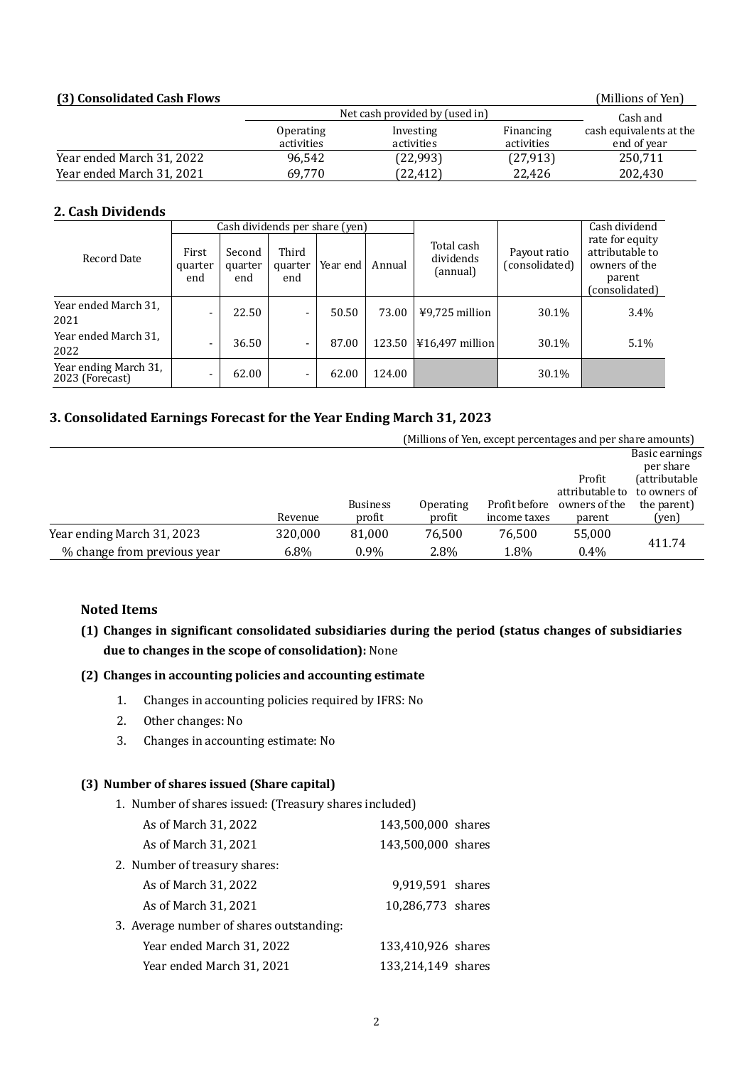#### **(3) Consolidated Cash Flows** (Millions of Yen)

|                           | Net cash provided by (used in) | Cash and                |                         |                                        |
|---------------------------|--------------------------------|-------------------------|-------------------------|----------------------------------------|
|                           | <b>Operating</b><br>activities | Investing<br>activities | Financing<br>activities | cash equivalents at the<br>end of year |
| Year ended March 31, 2022 | 96,542                         | (22,993)                | (27, 913)               | 250,711                                |
| Year ended March 31, 2021 | 69.770                         | (22, 412)               | 22.426                  | 202,430                                |

#### **2. Cash Dividends**

|                                          |                          |                          |                         | Cash dividends per share (yen) |        |                                     |                                | Cash dividend                                                                   |
|------------------------------------------|--------------------------|--------------------------|-------------------------|--------------------------------|--------|-------------------------------------|--------------------------------|---------------------------------------------------------------------------------|
| Record Date                              | First<br>quarter<br>end  | Second<br>quarter<br>end | Third<br>quarter<br>end | Year end                       | Annual | Total cash<br>dividends<br>(annual) | Payout ratio<br>(consolidated) | rate for equity<br>attributable to<br>owners of the<br>parent<br>(consolidated) |
| Year ended March 31.<br>2021             |                          | 22.50                    | -                       | 50.50                          | 73.00  | ¥9,725 million                      | 30.1%                          | 3.4%                                                                            |
| Year ended March 31.<br>2022             | -                        | 36.50                    | -                       | 87.00                          | 123.50 | $416,497$ million                   | 30.1%                          | 5.1%                                                                            |
| Year ending March 31,<br>2023 (Forecast) | $\overline{\phantom{0}}$ | 62.00                    | -                       | 62.00                          | 124.00 |                                     | 30.1%                          |                                                                                 |

# **3. Consolidated Earnings Forecast for the Year Ending March 31, 2023**

|                             |         |                 |           |               | (Millions of Yen, except percentages and per share amounts) |                               |
|-----------------------------|---------|-----------------|-----------|---------------|-------------------------------------------------------------|-------------------------------|
|                             |         |                 |           |               |                                                             | Basic earnings<br>per share   |
|                             |         |                 |           |               | Profit<br>attributable to                                   | (attributable<br>to owners of |
|                             |         | <b>Business</b> | Operating | Profit before | owners of the                                               | the parent)                   |
|                             | Revenue | profit          | profit    | income taxes  | parent                                                      | (yen)                         |
| Year ending March 31, 2023  | 320,000 | 81.000          | 76.500    | 76.500        | 55,000                                                      | 411.74                        |
| % change from previous year | 6.8%    | $0.9\%$         | 2.8%      | 1.8%          | $0.4\%$                                                     |                               |

## **Noted Items**

# **(1) Changes in significant consolidated subsidiaries during the period (status changes of subsidiaries due to changes in the scope of consolidation):** None

#### **(2) Changes in accounting policies and accounting estimate**

- 1. Changes in accounting policies required by IFRS: No
- 2. Other changes: No
- 3. Changes in accounting estimate: No

# **(3) Number of shares issued (Share capital)**

1. Number of shares issued: (Treasury shares included)

| As of March 31, 2022                     | 143,500,000 shares |  |
|------------------------------------------|--------------------|--|
| As of March 31, 2021                     | 143,500,000 shares |  |
| 2. Number of treasury shares:            |                    |  |
| As of March 31, 2022                     | 9,919,591 shares   |  |
| As of March 31, 2021                     | 10,286,773 shares  |  |
| 3. Average number of shares outstanding: |                    |  |
| Year ended March 31, 2022                | 133,410,926 shares |  |
| Year ended March 31, 2021                | 133,214,149 shares |  |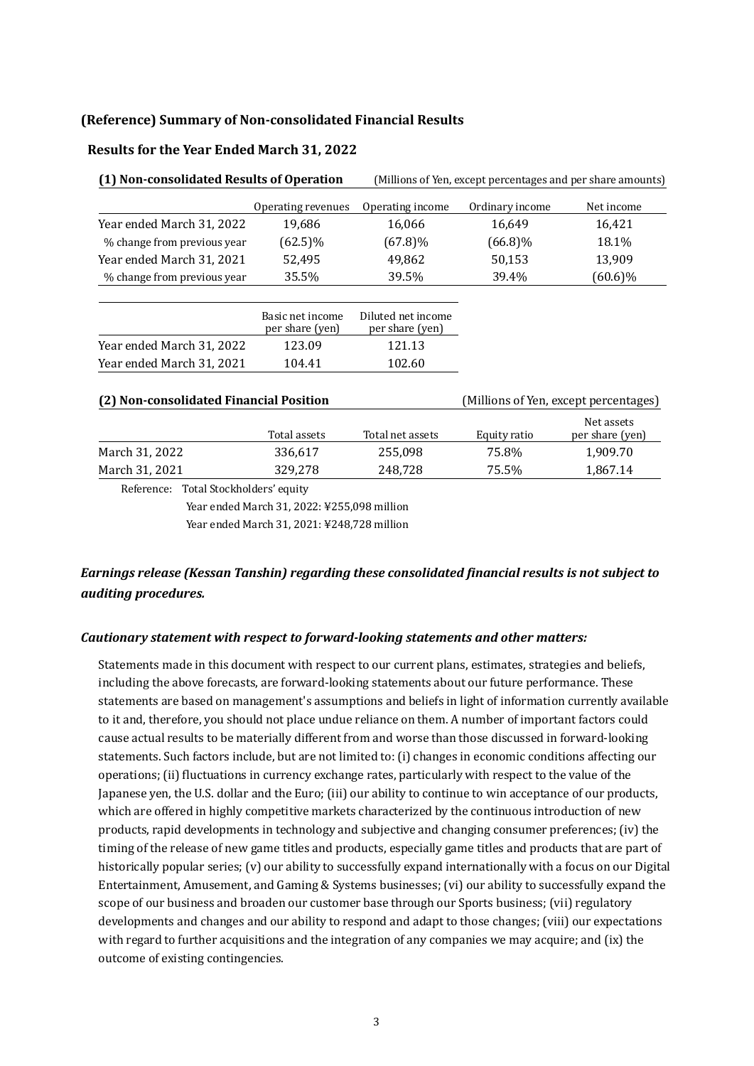#### **(Reference) Summary of Non-consolidated Financial Results**

#### **Results for the Year Ended March 31, 2022**

| (1) Non-consolidated Results of Operation |                                     | (Millions of Yen, except percentages and per share amounts) |                 |                                       |  |
|-------------------------------------------|-------------------------------------|-------------------------------------------------------------|-----------------|---------------------------------------|--|
|                                           | Operating revenues                  | Operating income                                            | Ordinary income | Net income                            |  |
| Year ended March 31, 2022                 | 19,686                              | 16,066                                                      | 16,649          | 16,421                                |  |
| % change from previous year               | $(62.5)\%$                          | $(67.8)\%$                                                  | $(66.8)\%$      | 18.1%                                 |  |
| Year ended March 31, 2021                 | 52,495                              | 49,862                                                      | 50,153          | 13,909                                |  |
| % change from previous year               | 35.5%                               | 39.5%                                                       | 39.4%           | $(60.6)\%$                            |  |
|                                           |                                     |                                                             |                 |                                       |  |
|                                           | Basic net income<br>per share (yen) | Diluted net income<br>per share (yen)                       |                 |                                       |  |
| Year ended March 31, 2022                 | 123.09                              | 121.13                                                      |                 |                                       |  |
| Year ended March 31, 2021                 | 104.41                              | 102.60                                                      |                 |                                       |  |
| (2) Non-consolidated Financial Position   |                                     |                                                             |                 | (Millions of Yen, except percentages) |  |
|                                           | Total assets                        | Total net assets                                            | Equity ratio    | Net assets<br>per share (yen)         |  |
| March 31, 2022                            | 336,617                             | 255,098                                                     | 75.8%           | 1,909.70                              |  |
| March 31, 2021                            | 329,278                             | 248,728                                                     | 75.5%           | 1,867.14                              |  |

Reference: Total Stockholders' equity

Year ended March 31, 2022: ¥255,098 million

Year ended March 31, 2021: ¥248,728 million

# *Earnings release (Kessan Tanshin) regarding these consolidated financial results is not subject to auditing procedures.*

#### *Cautionary statement with respect to forward-looking statements and other matters:*

Statements made in this document with respect to our current plans, estimates, strategies and beliefs, including the above forecasts, are forward-looking statements about our future performance. These statements are based on management's assumptions and beliefs in light of information currently available to it and, therefore, you should not place undue reliance on them. A number of important factors could cause actual results to be materially different from and worse than those discussed in forward-looking statements. Such factors include, but are not limited to: (i) changes in economic conditions affecting our operations; (ii) fluctuations in currency exchange rates, particularly with respect to the value of the Japanese yen, the U.S. dollar and the Euro; (iii) our ability to continue to win acceptance of our products, which are offered in highly competitive markets characterized by the continuous introduction of new products, rapid developments in technology and subjective and changing consumer preferences; (iv) the timing of the release of new game titles and products, especially game titles and products that are part of historically popular series; (y) our ability to successfully expand internationally with a focus on our Digital Entertainment, Amusement, and Gaming & Systems businesses; (vi) our ability to successfully expand the scope of our business and broaden our customer base through our Sports business; (vii) regulatory developments and changes and our ability to respond and adapt to those changes; (viii) our expectations with regard to further acquisitions and the integration of any companies we may acquire; and (ix) the outcome of existing contingencies.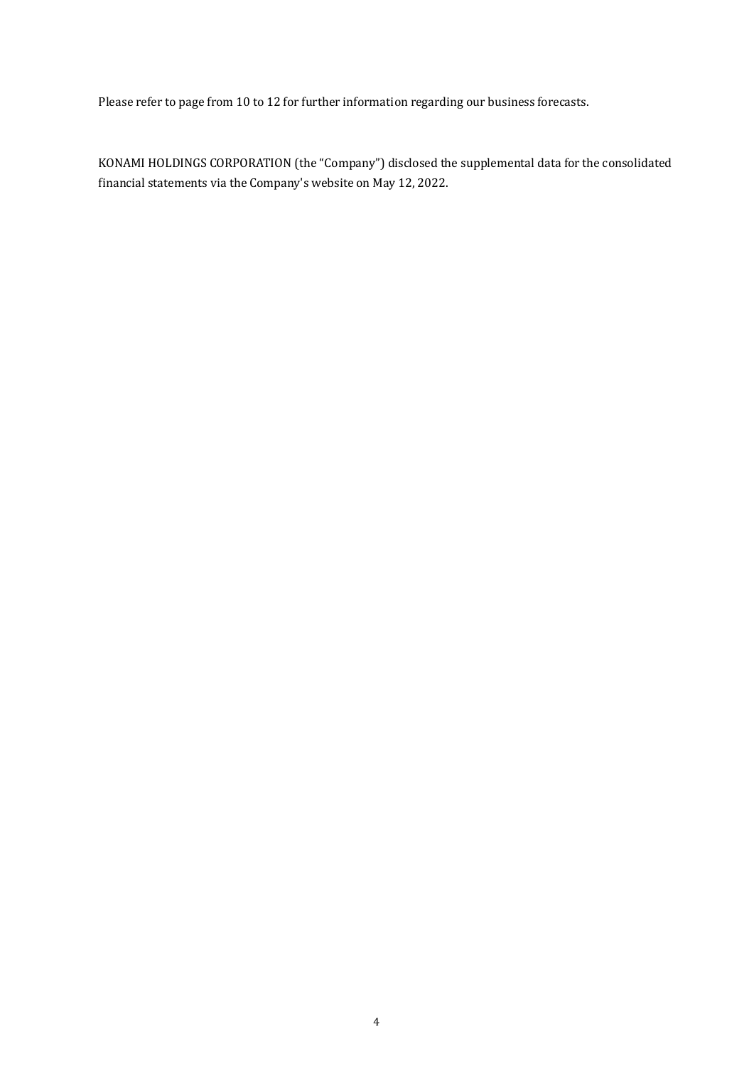Please refer to page from 10 to 12 for further information regarding our business forecasts.

KONAMI HOLDINGS CORPORATION (the "Company") disclosed the supplemental data for the consolidated financial statements via the Company's website on May 12, 2022.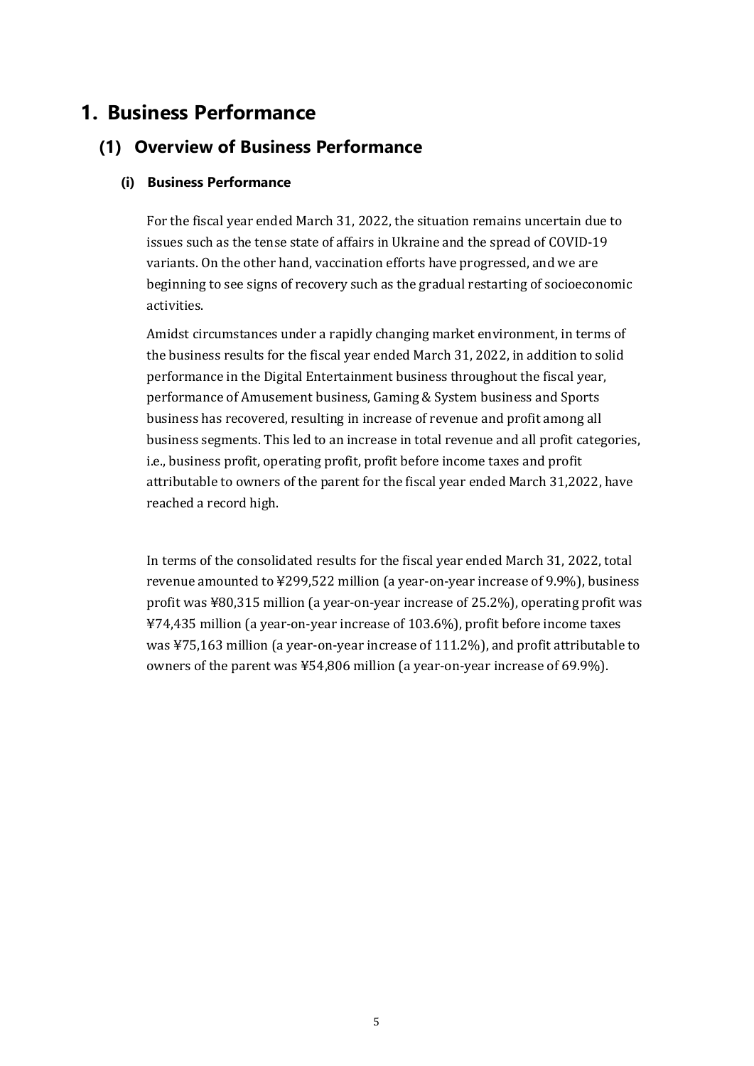# **1. Business Performance**

# **(1) Overview of Business Performance**

# **(i) Business Performance**

For the fiscal year ended March 31, 2022, the situation remains uncertain due to issues such as the tense state of affairs in Ukraine and the spread of COVID-19 variants. On the other hand, vaccination efforts have progressed, and we are beginning to see signs of recovery such as the gradual restarting of socioeconomic activities.

Amidst circumstances under a rapidly changing market environment, in terms of the business results for the fiscal year ended March 31, 2022, in addition to solid performance in the Digital Entertainment business throughout the fiscal year, performance of Amusement business, Gaming & System business and Sports business has recovered, resulting in increase of revenue and profit among all business segments. This led to an increase in total revenue and all profit categories, i.e., business profit, operating profit, profit before income taxes and profit attributable to owners of the parent for the fiscal year ended March 31,2022, have reached a record high.

In terms of the consolidated results for the fiscal year ended March 31, 2022, total revenue amounted to ¥299,522 million (a year-on-year increase of 9.9%), business profit was ¥80,315 million (a year-on-year increase of 25.2%), operating profit was ¥74,435 million (a year-on-year increase of 103.6%), profit before income taxes was ¥75,163 million (a year-on-year increase of 111.2%), and profit attributable to owners of the parent was ¥54,806 million (a year-on-year increase of 69.9%).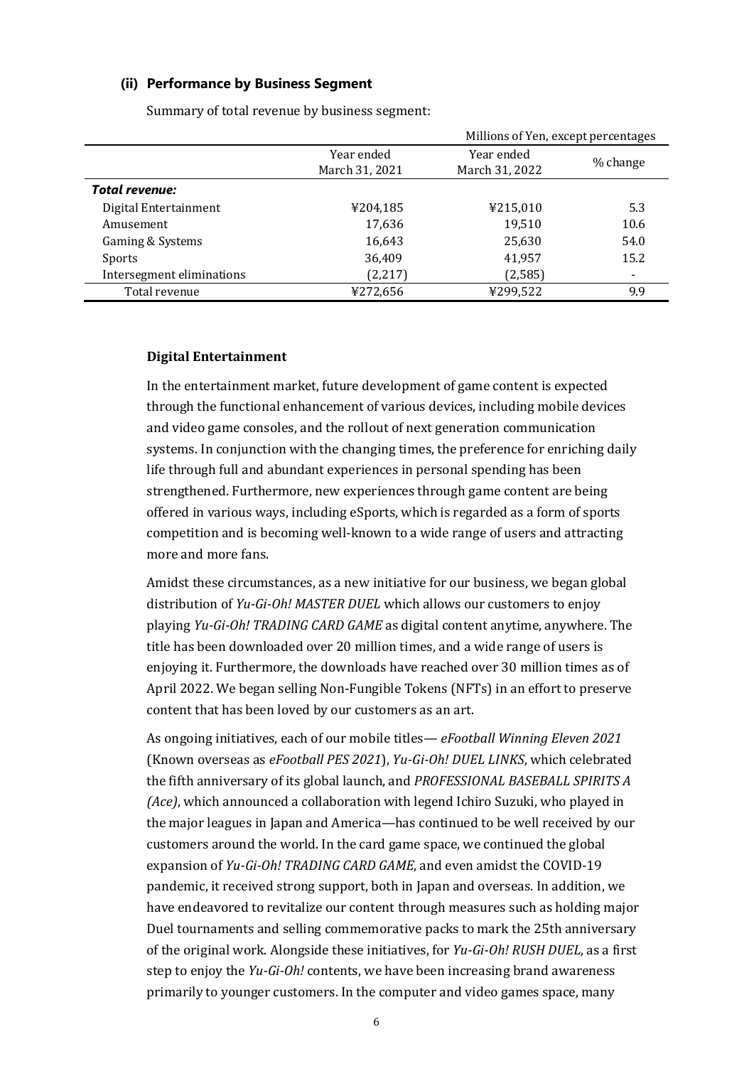#### **(ii) Performance by Business Segment**

|                           |                              | Millions of Yen, except percentages |          |
|---------------------------|------------------------------|-------------------------------------|----------|
|                           | Year ended<br>March 31, 2021 | Year ended<br>March 31, 2022        | % change |
| <b>Total revenue:</b>     |                              |                                     |          |
| Digital Entertainment     | ¥204,185                     | ¥215,010                            | 5.3      |
| Amusement                 | 17,636                       | 19,510                              | 10.6     |
| Gaming & Systems          | 16,643                       | 25,630                              | 54.0     |
| Sports                    | 36,409                       | 41,957                              | 15.2     |
| Intersegment eliminations | (2,217)                      | (2,585)                             |          |
| Total revenue             | ¥272,656                     | ¥299,522                            | 9.9      |
|                           |                              |                                     |          |

Summary of total revenue by business segment:

## **Digital Entertainment**

In the entertainment market, future development of game content is expected through the functional enhancement of various devices, including mobile devices and video game consoles, and the rollout of next generation communication systems. In conjunction with the changing times, the preference for enriching daily life through full and abundant experiences in personal spending has been strengthened. Furthermore, new experiences through game content are being offered in various ways, including eSports, which is regarded as a form of sports competition and is becoming well-known to a wide range of users and attracting more and more fans.

Amidst these circumstances, as a new initiative for our business, we began global distribution of *Yu-Gi-Oh! MASTER DUEL* which allows our customers to enjoy playing *Yu-Gi-Oh! TRADING CARD GAME* as digital content anytime, anywhere. The title has been downloaded over 20 million times, and a wide range of users is enjoying it. Furthermore, the downloads have reached over 30 million times as of April 2022. We began selling Non-Fungible Tokens (NFTs) in an effort to preserve content that has been loved by our customers as an art.

As ongoing initiatives, each of our mobile titles— *eFootball Winning Eleven 2021* (Known overseas as *eFootball PES 2021*), *Yu-Gi-Oh! DUEL LINKS*, which celebrated the fifth anniversary of its global launch, and *PROFESSIONAL BASEBALL SPIRITS A (Ace)*, which announced a collaboration with legend Ichiro Suzuki, who played in the major leagues in Japan and America—has continued to be well received by our customers around the world. In the card game space, we continued the global expansion of *Yu-Gi-Oh! TRADING CARD GAME*, and even amidst the COVID-19 pandemic, it received strong support, both in Japan and overseas. In addition, we have endeavored to revitalize our content through measures such as holding major Duel tournaments and selling commemorative packs to mark the 25th anniversary of the original work. Alongside these initiatives, for *Yu-Gi-Oh! RUSH DUEL*, as a first step to enjoy the *Yu-Gi-Oh!* contents, we have been increasing brand awareness primarily to younger customers. In the computer and video games space, many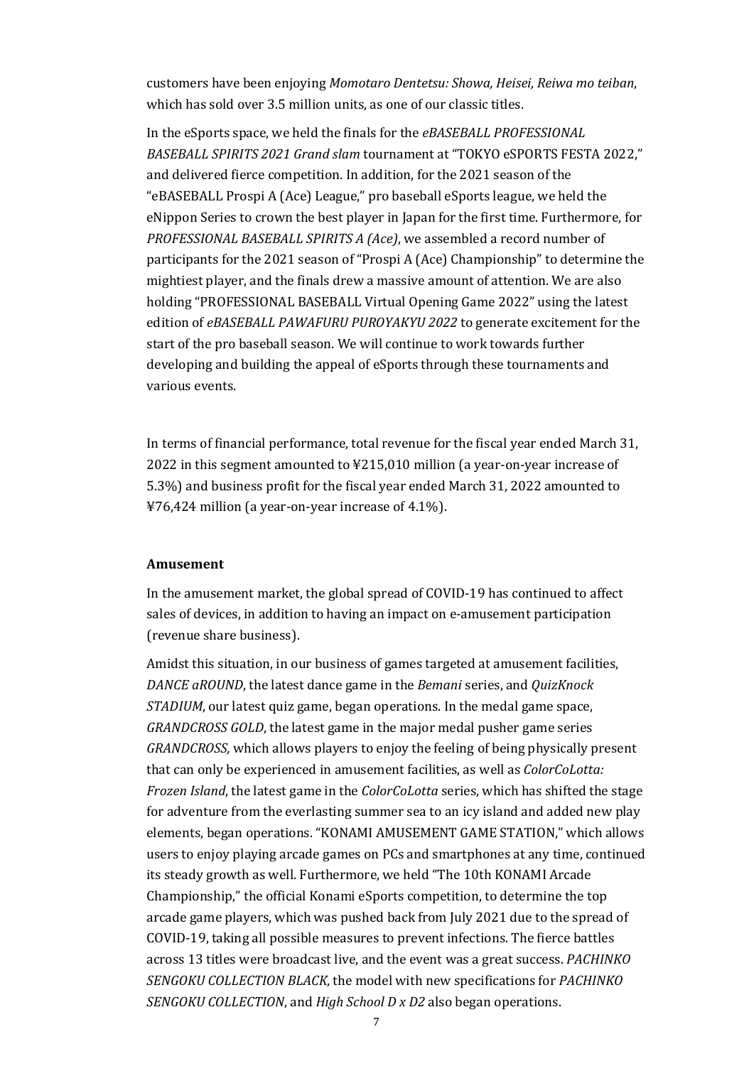customers have been enjoying *Momotaro Dentetsu: Showa, Heisei, Reiwa mo teiban*, which has sold over 3.5 million units, as one of our classic titles.

In the eSports space, we held the finals for the *eBASEBALL PROFESSIONAL BASEBALL SPIRITS 2021 Grand slam* tournament at "TOKYO eSPORTS FESTA 2022," and delivered fierce competition. In addition, for the 2021 season of the "eBASEBALL Prospi A (Ace) League," pro baseball eSports league, we held the eNippon Series to crown the best player in Japan for the first time. Furthermore, for *PROFESSIONAL BASEBALL SPIRITS A (Ace)*, we assembled a record number of participants for the 2021 season of "Prospi A (Ace) Championship" to determine the mightiest player, and the finals drew a massive amount of attention. We are also holding "PROFESSIONAL BASEBALL Virtual Opening Game 2022" using the latest edition of *eBASEBALL PAWAFURU PUROYAKYU 2022* to generate excitement for the start of the pro baseball season. We will continue to work towards further developing and building the appeal of eSports through these tournaments and various events.

In terms of financial performance, total revenue for the fiscal year ended March 31, 2022 in this segment amounted to ¥215,010 million (a year-on-year increase of 5.3%) and business profit for the fiscal year ended March 31, 2022 amounted to ¥76,424 million (a year-on-year increase of 4.1%).

#### **Amusement**

In the amusement market, the global spread of COVID-19 has continued to affect sales of devices, in addition to having an impact on e-amusement participation (revenue share business).

Amidst this situation, in our business of games targeted at amusement facilities, *DANCE aROUND*, the latest dance game in the *Bemani* series, and *QuizKnock STADIUM*, our latest quiz game, began operations. In the medal game space, *GRANDCROSS GOLD*, the latest game in the major medal pusher game series *GRANDCROSS,* which allows players to enjoy the feeling of being physically present that can only be experienced in amusement facilities, as well as *ColorCoLotta: Frozen Island*, the latest game in the *ColorCoLotta* series, which has shifted the stage for adventure from the everlasting summer sea to an icy island and added new play elements, began operations. "KONAMI AMUSEMENT GAME STATION," which allows users to enjoy playing arcade games on PCs and smartphones at any time, continued its steady growth as well. Furthermore, we held "The 10th KONAMI Arcade Championship," the official Konami eSports competition, to determine the top arcade game players, which was pushed back from July 2021 due to the spread of COVID-19, taking all possible measures to prevent infections. The fierce battles across 13 titles were broadcast live, and the event was a great success. *PACHINKO SENGOKU COLLECTION BLACK*, the model with new specifications for *PACHINKO SENGOKU COLLECTION*, and *High School D x D2* also began operations.

7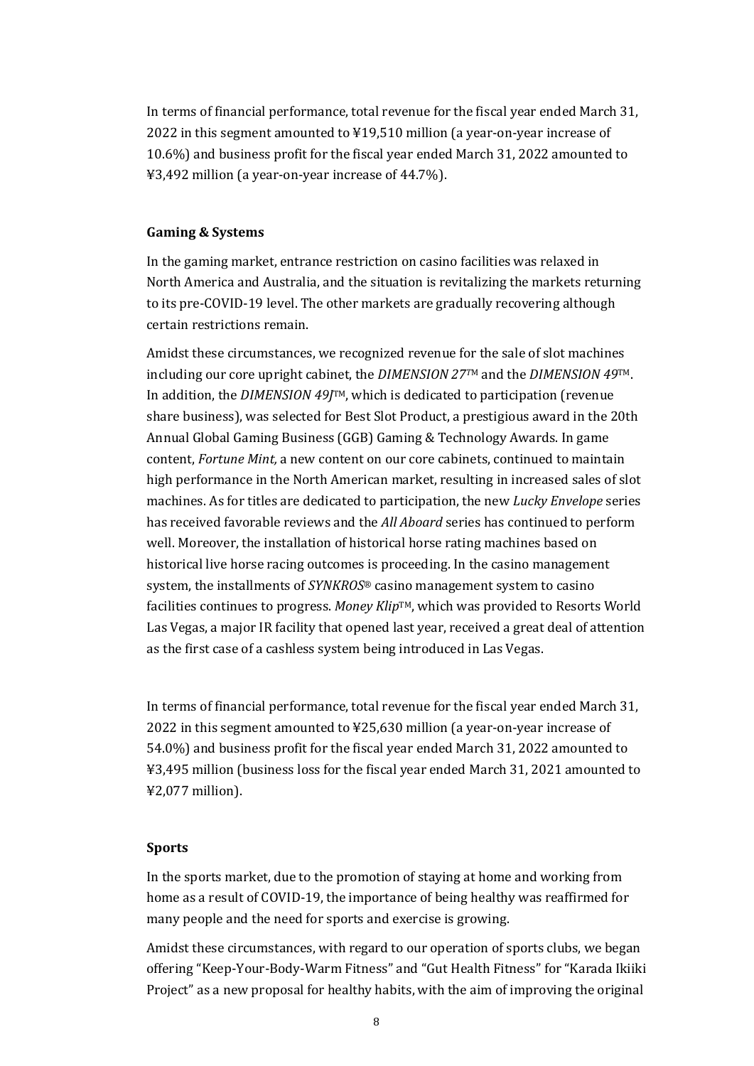In terms of financial performance, total revenue for the fiscal year ended March 31, 2022 in this segment amounted to ¥19,510 million (a year-on-year increase of 10.6%) and business profit for the fiscal year ended March 31, 2022 amounted to ¥3,492 million (a year-on-year increase of 44.7%).

#### **Gaming & Systems**

In the gaming market, entrance restriction on casino facilities was relaxed in North America and Australia, and the situation is revitalizing the markets returning to its pre-COVID-19 level. The other markets are gradually recovering although certain restrictions remain.

Amidst these circumstances, we recognized revenue for the sale of slot machines including our core upright cabinet, the *DIMENSION 27T*<sup>M</sup> and the *DIMENSION 49*TM. In addition, the *DIMENSION 49J*TM, which is dedicated to participation (revenue share business), was selected for Best Slot Product, a prestigious award in the 20th Annual Global Gaming Business (GGB) Gaming & Technology Awards. In game content, *Fortune Mint,* a new content on our core cabinets, continued to maintain high performance in the North American market, resulting in increased sales of slot machines. As for titles are dedicated to participation, the new *Lucky Envelope* series has received favorable reviews and the *All Aboard* series has continued to perform well. Moreover, the installation of historical horse rating machines based on historical live horse racing outcomes is proceeding. In the casino management system, the installments of *SYNKROS*® casino management system to casino facilities continues to progress. *Money Klip*TM, which was provided to Resorts World Las Vegas, a major IR facility that opened last year, received a great deal of attention as the first case of a cashless system being introduced in Las Vegas.

In terms of financial performance, total revenue for the fiscal year ended March 31, 2022 in this segment amounted to ¥25,630 million (a year-on-year increase of 54.0%) and business profit for the fiscal year ended March 31, 2022 amounted to ¥3,495 million (business loss for the fiscal year ended March 31, 2021 amounted to ¥2,077 million).

#### **Sports**

In the sports market, due to the promotion of staying at home and working from home as a result of COVID-19, the importance of being healthy was reaffirmed for many people and the need for sports and exercise is growing.

Amidst these circumstances, with regard to our operation of sports clubs, we began offering "Keep-Your-Body-Warm Fitness" and "Gut Health Fitness" for "Karada Ikiiki Project" as a new proposal for healthy habits, with the aim of improving the original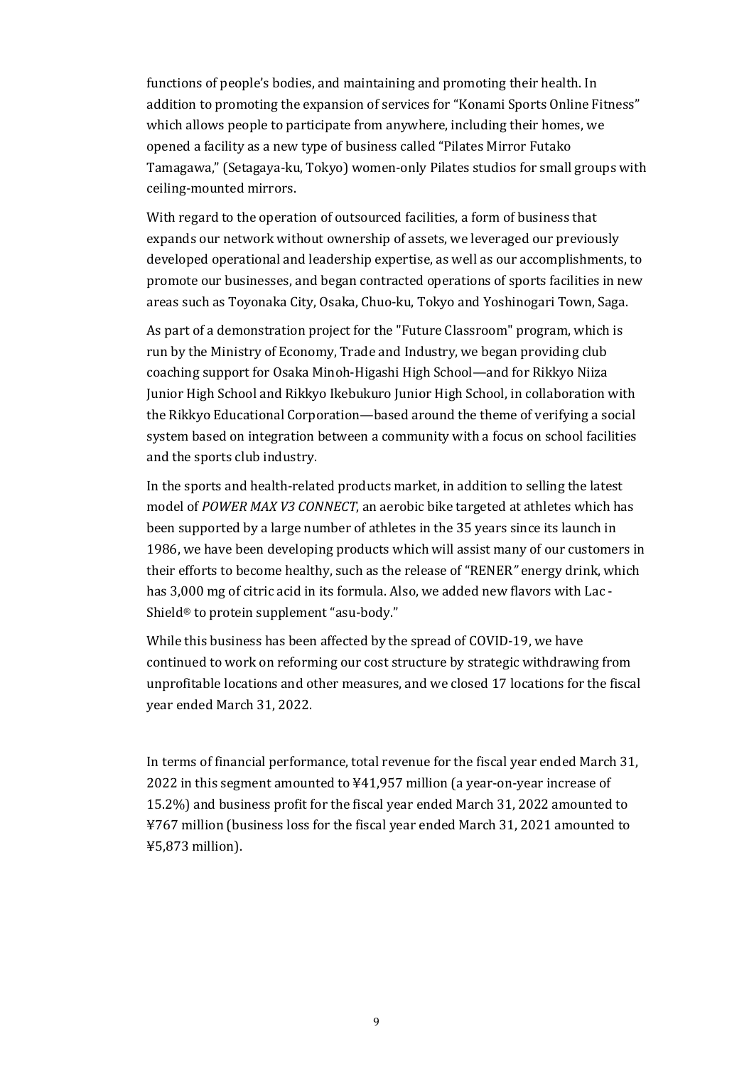functions of people's bodies, and maintaining and promoting their health. In addition to promoting the expansion of services for "Konami Sports Online Fitness" which allows people to participate from anywhere, including their homes, we opened a facility as a new type of business called "Pilates Mirror Futako Tamagawa," (Setagaya-ku, Tokyo) women-only Pilates studios for small groups with ceiling-mounted mirrors.

With regard to the operation of outsourced facilities, a form of business that expands our network without ownership of assets, we leveraged our previously developed operational and leadership expertise, as well as our accomplishments, to promote our businesses, and began contracted operations of sports facilities in new areas such as Toyonaka City, Osaka, Chuo-ku, Tokyo and Yoshinogari Town, Saga.

As part of a demonstration project for the "Future Classroom" program, which is run by the Ministry of Economy, Trade and Industry, we began providing club coaching support for Osaka Minoh-Higashi High School—and for Rikkyo Niiza Junior High School and Rikkyo Ikebukuro Junior High School, in collaboration with the Rikkyo Educational Corporation—based around the theme of verifying a social system based on integration between a community with a focus on school facilities and the sports club industry.

In the sports and health-related products market, in addition to selling the latest model of *POWER MAX V3 CONNECT*, an aerobic bike targeted at athletes which has been supported by a large number of athletes in the 35 years since its launch in 1986, we have been developing products which will assist many of our customers in their efforts to become healthy, such as the release of "RENER*"* energy drink, which has 3,000 mg of citric acid in its formula. Also, we added new flavors with Lac - Shield® to protein supplement "asu-body."

While this business has been affected by the spread of COVID-19, we have continued to work on reforming our cost structure by strategic withdrawing from unprofitable locations and other measures, and we closed 17 locations for the fiscal year ended March 31, 2022.

In terms of financial performance, total revenue for the fiscal year ended March 31, 2022 in this segment amounted to ¥41,957 million (a year-on-year increase of 15.2%) and business profit for the fiscal year ended March 31, 2022 amounted to ¥767 million (business loss for the fiscal year ended March 31, 2021 amounted to ¥5,873 million).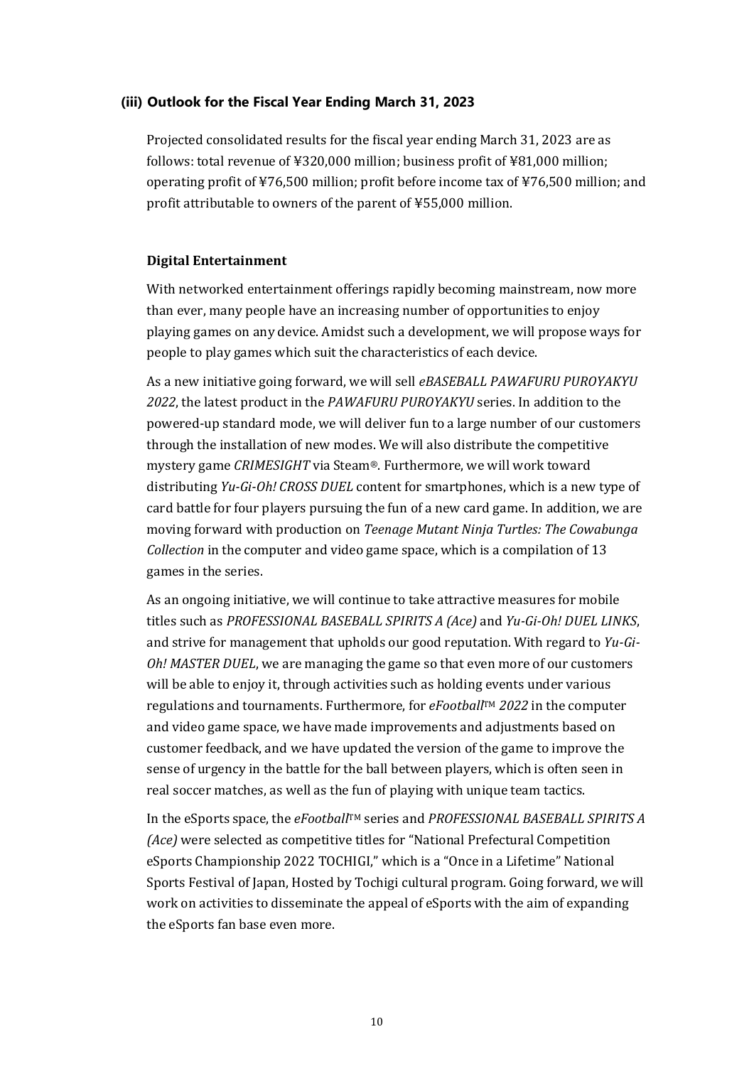### **(iii) Outlook for the Fiscal Year Ending March 31, 2023**

Projected consolidated results for the fiscal year ending March 31, 2023 are as follows: total revenue of ¥320,000 million; business profit of ¥81,000 million; operating profit of ¥76,500 million; profit before income tax of ¥76,500 million; and profit attributable to owners of the parent of ¥55,000 million.

### **Digital Entertainment**

With networked entertainment offerings rapidly becoming mainstream, now more than ever, many people have an increasing number of opportunities to enjoy playing games on any device. Amidst such a development, we will propose ways for people to play games which suit the characteristics of each device.

As a new initiative going forward, we will sell *eBASEBALL PAWAFURU PUROYAKYU 2022*, the latest product in the *PAWAFURU PUROYAKYU* series. In addition to the powered-up standard mode, we will deliver fun to a large number of our customers through the installation of new modes. We will also distribute the competitive mystery game *CRIMESIGHT* via Steam®. Furthermore, we will work toward distributing *Yu-Gi-Oh! CROSS DUEL* content for smartphones, which is a new type of card battle for four players pursuing the fun of a new card game. In addition, we are moving forward with production on *Teenage Mutant Ninja Turtles: The Cowabunga Collection* in the computer and video game space, which is a compilation of 13 games in the series.

As an ongoing initiative, we will continue to take attractive measures for mobile titles such as *PROFESSIONAL BASEBALL SPIRITS A (Ace)* and *Yu-Gi-Oh! DUEL LINKS*, and strive for management that upholds our good reputation. With regard to *Yu-Gi-Oh! MASTER DUEL*, we are managing the game so that even more of our customers will be able to enjoy it, through activities such as holding events under various regulations and tournaments. Furthermore, for *eFootball*TM *2022* in the computer and video game space, we have made improvements and adjustments based on customer feedback, and we have updated the version of the game to improve the sense of urgency in the battle for the ball between players, which is often seen in real soccer matches, as well as the fun of playing with unique team tactics.

In the eSports space, the *eFootballTM* series and *PROFESSIONAL BASEBALL SPIRITS A (Ace)* were selected as competitive titles for "National Prefectural Competition eSports Championship 2022 TOCHIGI," which is a "Once in a Lifetime" National Sports Festival of Japan, Hosted by Tochigi cultural program. Going forward, we will work on activities to disseminate the appeal of eSports with the aim of expanding the eSports fan base even more.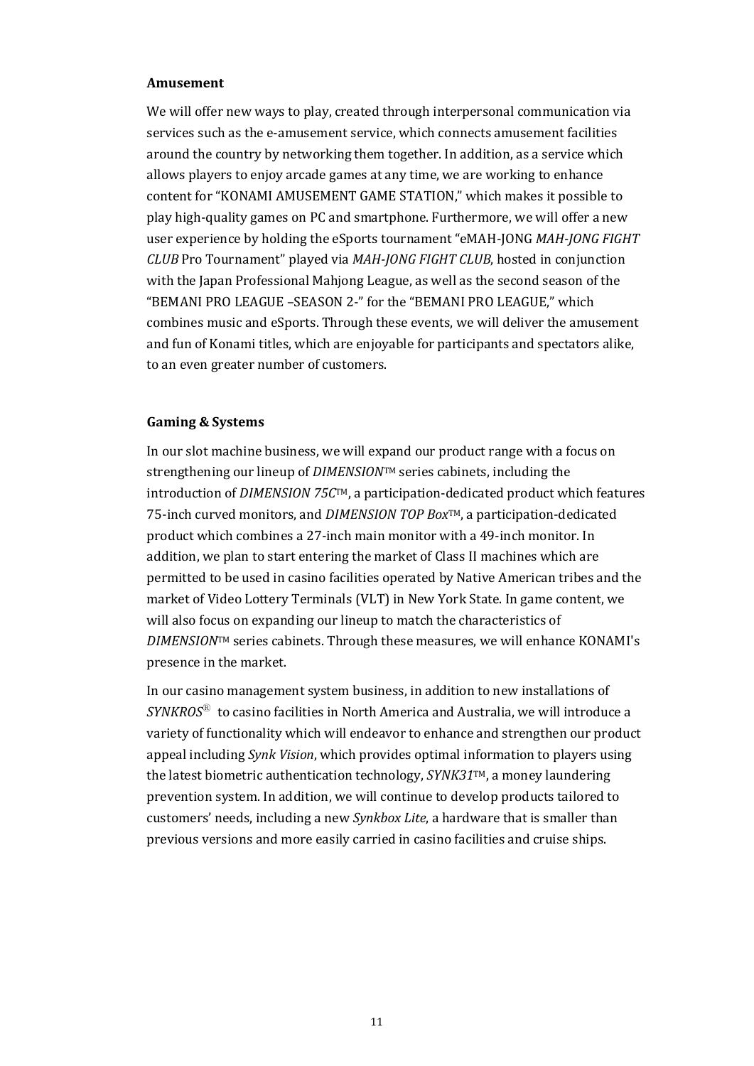#### **Amusement**

We will offer new ways to play, created through interpersonal communication via services such as the e-amusement service, which connects amusement facilities around the country by networking them together. In addition, as a service which allows players to enjoy arcade games at any time, we are working to enhance content for "KONAMI AMUSEMENT GAME STATION," which makes it possible to play high-quality games on PC and smartphone. Furthermore, we will offer a new user experience by holding the eSports tournament "eMAH-JONG *MAH-JONG FIGHT CLUB* Pro Tournament" played via *MAH-JONG FIGHT CLUB*, hosted in conjunction with the Japan Professional Mahjong League, as well as the second season of the "BEMANI PRO LEAGUE –SEASON 2-" for the "BEMANI PRO LEAGUE," which combines music and eSports. Through these events, we will deliver the amusement and fun of Konami titles, which are enjoyable for participants and spectators alike, to an even greater number of customers.

#### **Gaming & Systems**

In our slot machine business, we will expand our product range with a focus on strengthening our lineup of *DIMENSION*TM series cabinets, including the introduction of *DIMENSION 75C*TM, a participation-dedicated product which features 75-inch curved monitors, and *DIMENSION TOP Box*TM, a participation-dedicated product which combines a 27-inch main monitor with a 49-inch monitor. In addition, we plan to start entering the market of Class II machines which are permitted to be used in casino facilities operated by Native American tribes and the market of Video Lottery Terminals (VLT) in New York State. In game content, we will also focus on expanding our lineup to match the characteristics of *DIMENSION*TM series cabinets. Through these measures, we will enhance KONAMI's presence in the market.

In our casino management system business, in addition to new installations of *SYNKROS*Ⓡ to casino facilities in North America and Australia, we will introduce a variety of functionality which will endeavor to enhance and strengthen our product appeal including *Synk Vision*, which provides optimal information to players using the latest biometric authentication technology, *SYNK31*TM, a money laundering prevention system. In addition, we will continue to develop products tailored to customers' needs, including a new *Synkbox Lite*, a hardware that is smaller than previous versions and more easily carried in casino facilities and cruise ships.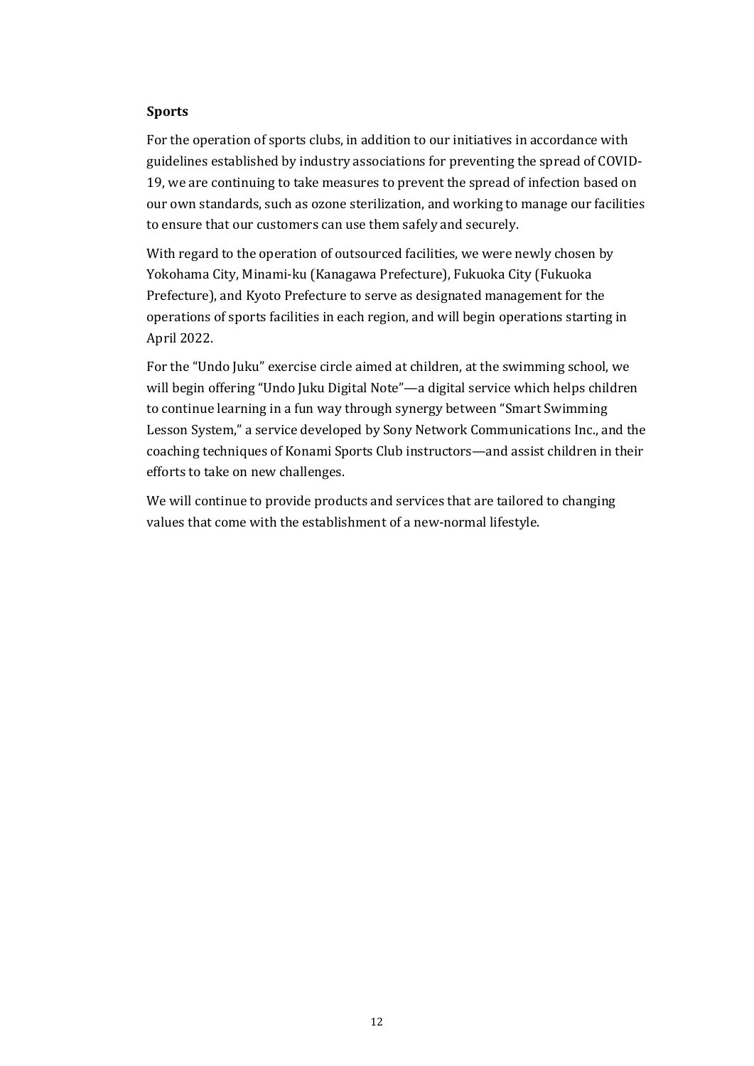### **Sports**

For the operation of sports clubs, in addition to our initiatives in accordance with guidelines established by industry associations for preventing the spread of COVID-19, we are continuing to take measures to prevent the spread of infection based on our own standards, such as ozone sterilization, and working to manage our facilities to ensure that our customers can use them safely and securely.

With regard to the operation of outsourced facilities, we were newly chosen by Yokohama City, Minami-ku (Kanagawa Prefecture), Fukuoka City (Fukuoka Prefecture), and Kyoto Prefecture to serve as designated management for the operations of sports facilities in each region, and will begin operations starting in April 2022.

For the "Undo Juku" exercise circle aimed at children, at the swimming school, we will begin offering "Undo Juku Digital Note"—a digital service which helps children to continue learning in a fun way through synergy between "Smart Swimming Lesson System," a service developed by Sony Network Communications Inc., and the coaching techniques of Konami Sports Club instructors—and assist children in their efforts to take on new challenges.

We will continue to provide products and services that are tailored to changing values that come with the establishment of a new-normal lifestyle.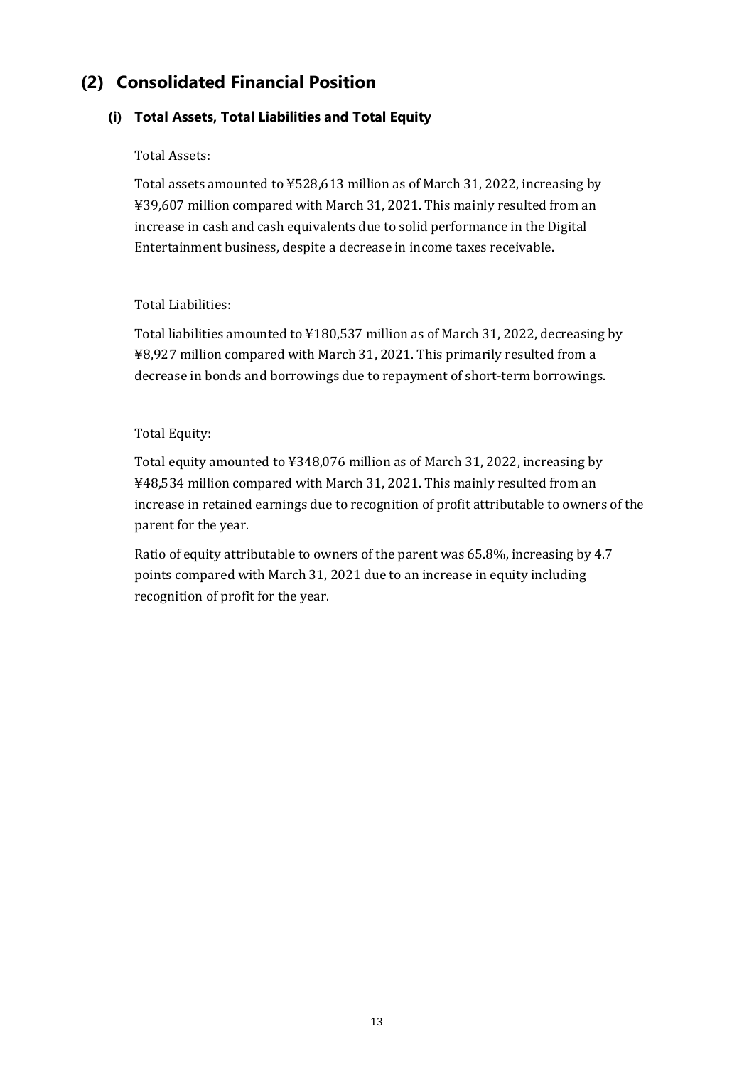# **(2) Consolidated Financial Position**

# **(i) Total Assets, Total Liabilities and Total Equity**

# Total Assets:

Total assets amounted to ¥528,613 million as of March 31, 2022, increasing by ¥39,607 million compared with March 31, 2021. This mainly resulted from an increase in cash and cash equivalents due to solid performance in the Digital Entertainment business, despite a decrease in income taxes receivable.

# Total Liabilities:

Total liabilities amounted to ¥180,537 million as of March 31, 2022, decreasing by ¥8,927 million compared with March 31, 2021. This primarily resulted from a decrease in bonds and borrowings due to repayment of short-term borrowings.

# Total Equity:

Total equity amounted to ¥348,076 million as of March 31, 2022, increasing by ¥48,534 million compared with March 31, 2021. This mainly resulted from an increase in retained earnings due to recognition of profit attributable to owners of the parent for the year.

Ratio of equity attributable to owners of the parent was 65.8%, increasing by 4.7 points compared with March 31, 2021 due to an increase in equity including recognition of profit for the year.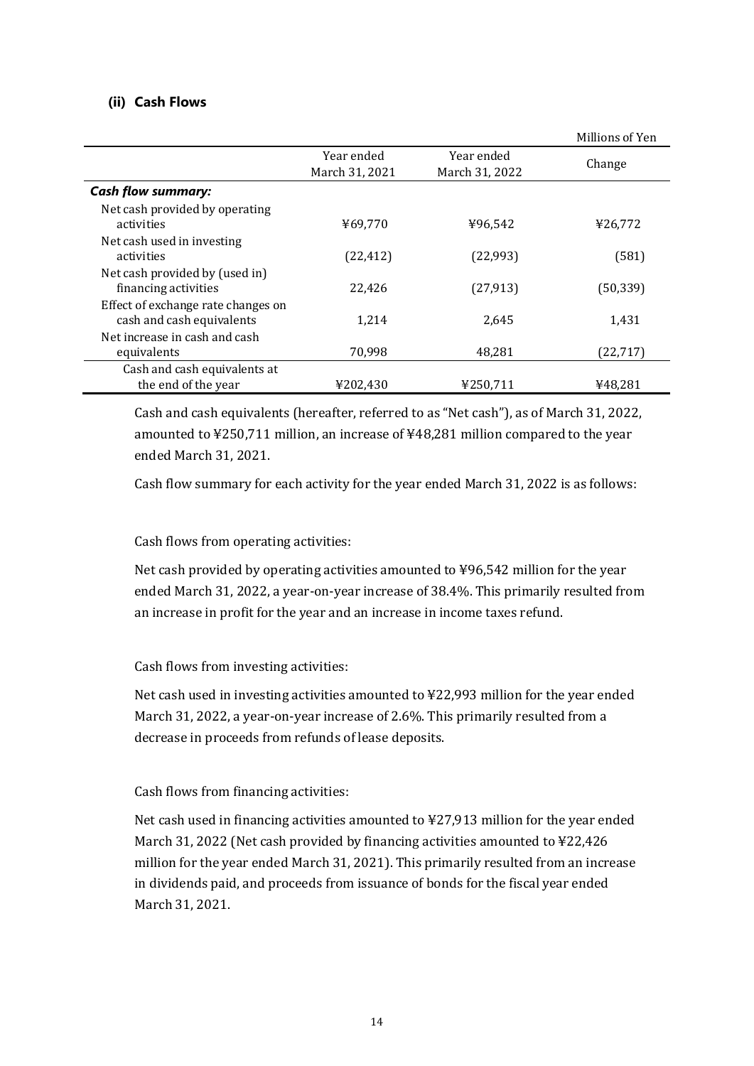# **(ii) Cash Flows**

|                                                                 |                              |                              | Millions of Yen |
|-----------------------------------------------------------------|------------------------------|------------------------------|-----------------|
|                                                                 | Year ended<br>March 31, 2021 | Year ended<br>March 31, 2022 | Change          |
| <b>Cash flow summary:</b>                                       |                              |                              |                 |
| Net cash provided by operating<br>activities                    | ¥69,770                      | ¥96,542                      | ¥26,772         |
| Net cash used in investing<br>activities                        | (22, 412)                    | (22, 993)                    | (581)           |
| Net cash provided by (used in)<br>financing activities          | 22,426                       | (27, 913)                    | (50, 339)       |
| Effect of exchange rate changes on<br>cash and cash equivalents | 1,214                        | 2,645                        | 1,431           |
| Net increase in cash and cash<br>equivalents                    | 70,998                       | 48,281                       | (22, 717)       |
| Cash and cash equivalents at<br>the end of the year             | ¥202,430                     | ¥250,711                     | ¥48.281         |

Cash and cash equivalents (hereafter, referred to as "Net cash"), as of March 31, 2022, amounted to ¥250,711 million, an increase of ¥48,281 million compared to the year ended March 31, 2021.

Cash flow summary for each activity for the year ended March 31, 2022 is as follows:

# Cash flows from operating activities:

Net cash provided by operating activities amounted to ¥96,542 million for the year ended March 31, 2022, a year-on-year increase of 38.4%. This primarily resulted from an increase in profit for the year and an increase in income taxes refund.

Cash flows from investing activities:

Net cash used in investing activities amounted to ¥22,993 million for the year ended March 31, 2022, a year-on-year increase of 2.6%. This primarily resulted from a decrease in proceeds from refunds of lease deposits.

Cash flows from financing activities:

Net cash used in financing activities amounted to ¥27,913 million for the year ended March 31, 2022 (Net cash provided by financing activities amounted to ¥22,426 million for the year ended March 31, 2021). This primarily resulted from an increase in dividends paid, and proceeds from issuance of bonds for the fiscal year ended March 31, 2021.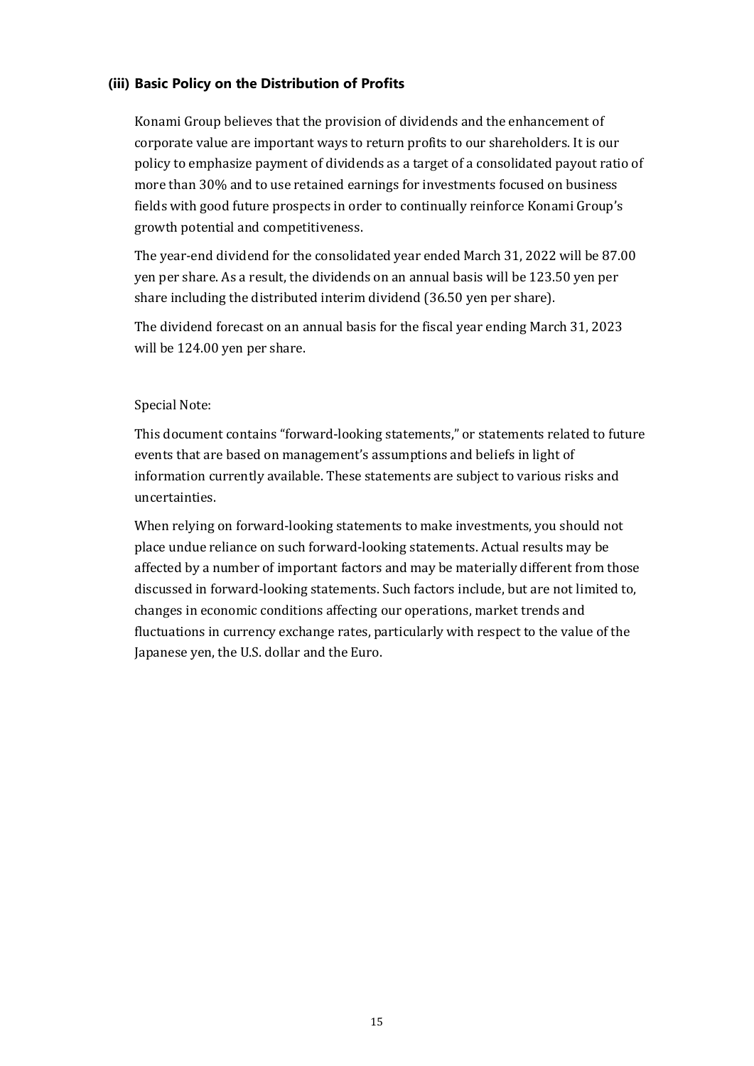# **(iii) Basic Policy on the Distribution of Profits**

Konami Group believes that the provision of dividends and the enhancement of corporate value are important ways to return profits to our shareholders. It is our policy to emphasize payment of dividends as a target of a consolidated payout ratio of more than 30% and to use retained earnings for investments focused on business fields with good future prospects in order to continually reinforce Konami Group's growth potential and competitiveness.

The year-end dividend for the consolidated year ended March 31, 2022 will be 87.00 yen per share. As a result, the dividends on an annual basis will be 123.50 yen per share including the distributed interim dividend (36.50 yen per share).

The dividend forecast on an annual basis for the fiscal year ending March 31, 2023 will be 124.00 yen per share.

### Special Note:

This document contains "forward-looking statements," or statements related to future events that are based on management's assumptions and beliefs in light of information currently available. These statements are subject to various risks and uncertainties.

When relying on forward-looking statements to make investments, you should not place undue reliance on such forward-looking statements. Actual results may be affected by a number of important factors and may be materially different from those discussed in forward-looking statements. Such factors include, but are not limited to, changes in economic conditions affecting our operations, market trends and fluctuations in currency exchange rates, particularly with respect to the value of the Japanese yen, the U.S. dollar and the Euro.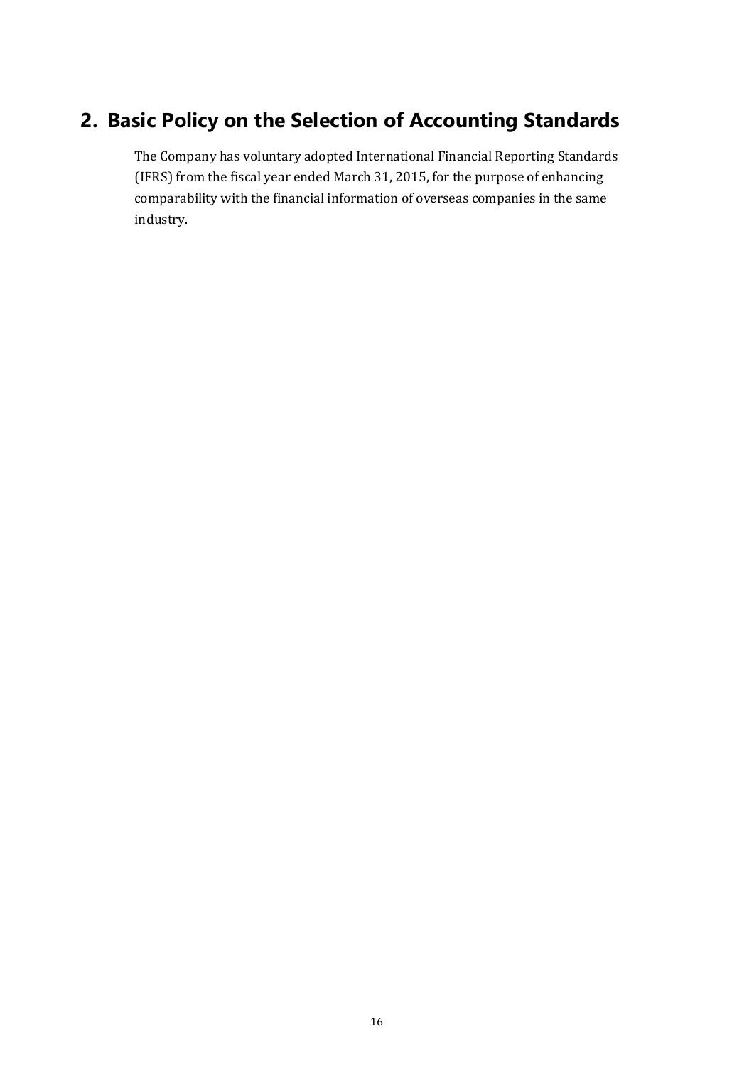# **2. Basic Policy on the Selection of Accounting Standards**

The Company has voluntary adopted International Financial Reporting Standards (IFRS) from the fiscal year ended March 31, 2015, for the purpose of enhancing comparability with the financial information of overseas companies in the same industry.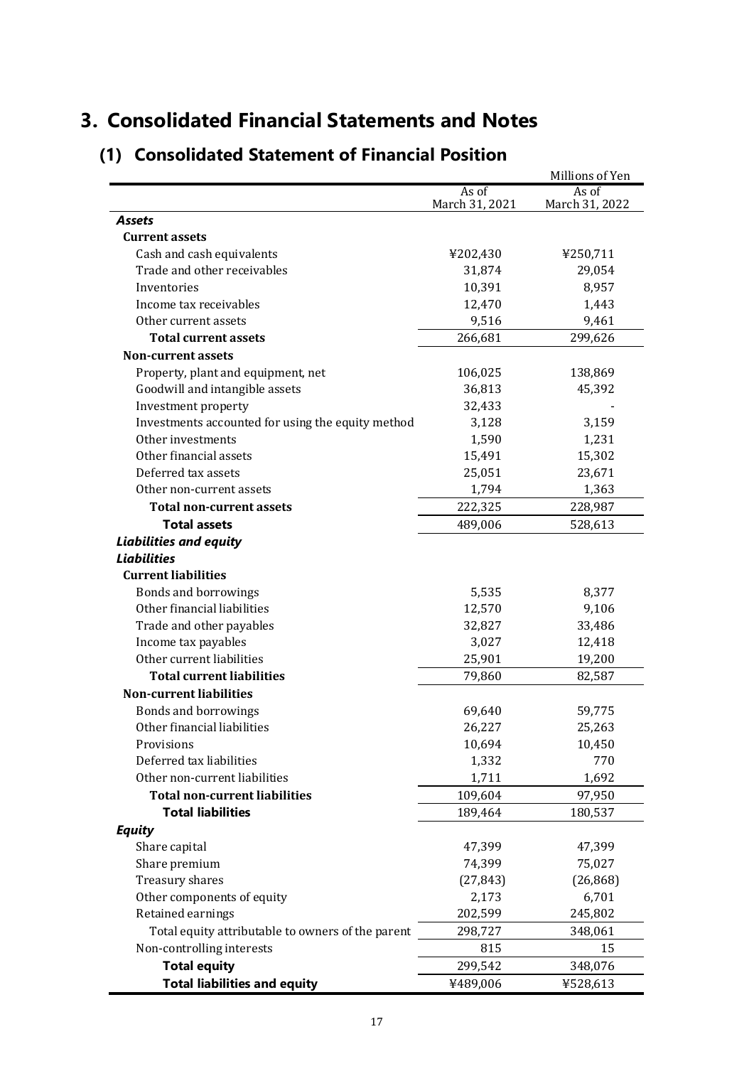# **3. Consolidated Financial Statements and Notes**

|                                                   |                | Millions of Yen |
|---------------------------------------------------|----------------|-----------------|
|                                                   | As of          | As of           |
| <b>Assets</b>                                     | March 31, 2021 | March 31, 2022  |
| <b>Current assets</b>                             |                |                 |
| Cash and cash equivalents                         | ¥202,430       | ¥250,711        |
| Trade and other receivables                       | 31,874         | 29,054          |
| Inventories                                       | 10,391         | 8,957           |
| Income tax receivables                            | 12,470         | 1,443           |
| Other current assets                              | 9,516          | 9,461           |
| <b>Total current assets</b>                       | 266,681        | 299,626         |
| <b>Non-current assets</b>                         |                |                 |
| Property, plant and equipment, net                | 106,025        | 138,869         |
| Goodwill and intangible assets                    | 36,813         | 45,392          |
| Investment property                               | 32,433         |                 |
| Investments accounted for using the equity method | 3,128          | 3,159           |
| Other investments                                 | 1,590          | 1,231           |
| Other financial assets                            | 15,491         | 15,302          |
| Deferred tax assets                               | 25,051         | 23,671          |
| Other non-current assets                          | 1,794          | 1,363           |
| <b>Total non-current assets</b>                   | 222,325        | 228,987         |
| <b>Total assets</b>                               | 489,006        | 528,613         |
| <b>Liabilities and equity</b>                     |                |                 |
| <b>Liabilities</b>                                |                |                 |
| <b>Current liabilities</b>                        |                |                 |
| Bonds and borrowings                              | 5,535          | 8,377           |
| Other financial liabilities                       | 12,570         | 9,106           |
| Trade and other payables                          | 32,827         | 33,486          |
| Income tax payables                               | 3,027          | 12,418          |
| Other current liabilities                         | 25,901         | 19,200          |
| <b>Total current liabilities</b>                  | 79,860         | 82,587          |
| <b>Non-current liabilities</b>                    |                |                 |
| Bonds and borrowings                              | 69,640         | 59,775          |
| Other financial liabilities                       | 26,227         | 25,263          |
| Provisions                                        | 10,694         | 10,450          |
| Deferred tax liabilities                          | 1,332          | 770             |
| Other non-current liabilities                     | 1,711          | 1,692           |
| <b>Total non-current liabilities</b>              | 109,604        | 97,950          |
| <b>Total liabilities</b>                          | 189,464        | 180,537         |
| <b>Equity</b>                                     |                |                 |
| Share capital                                     | 47,399         | 47,399          |
| Share premium                                     | 74,399         | 75,027          |
| Treasury shares                                   | (27, 843)      | (26, 868)       |
| Other components of equity                        | 2,173          | 6,701           |
| Retained earnings                                 | 202,599        | 245,802         |
| Total equity attributable to owners of the parent | 298,727        | 348,061         |
| Non-controlling interests                         | 815            | 15              |
|                                                   |                |                 |
| <b>Total equity</b>                               | 299,542        | 348,076         |
| <b>Total liabilities and equity</b>               | ¥489,006       | ¥528,613        |

# **(1) Consolidated Statement of Financial Position**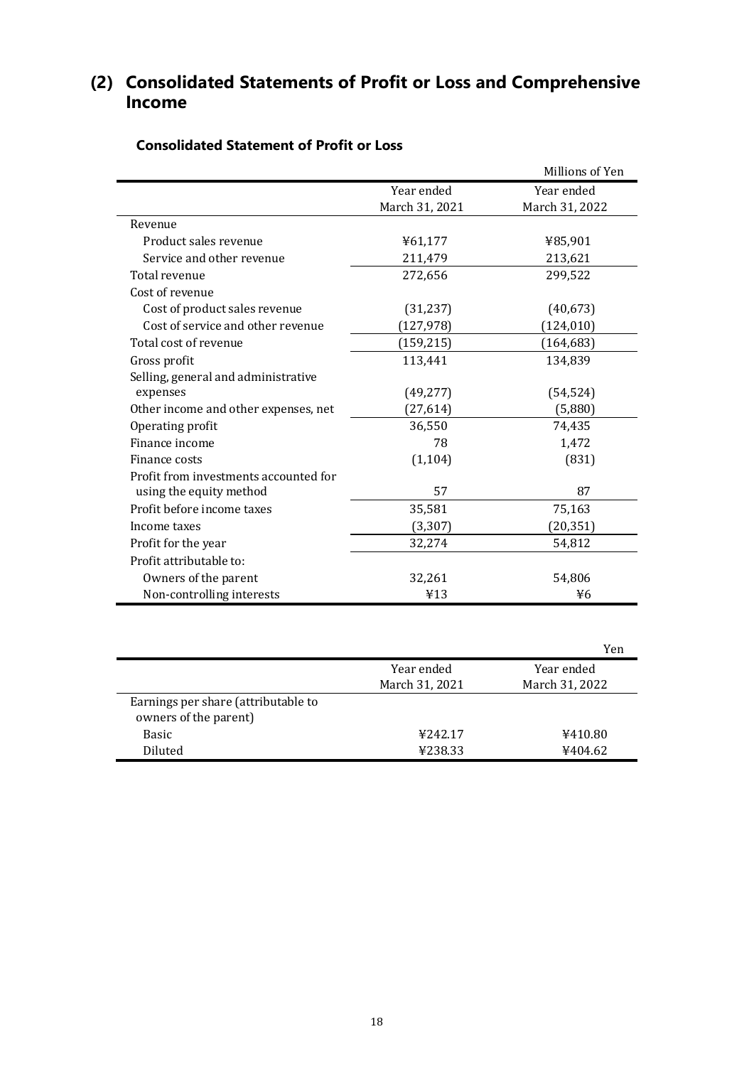# **(2) Consolidated Statements of Profit or Loss and Comprehensive Income**

|                                       |                | Millions of Yen |
|---------------------------------------|----------------|-----------------|
|                                       | Year ended     | Year ended      |
|                                       | March 31, 2021 | March 31, 2022  |
| Revenue                               |                |                 |
| Product sales revenue                 | ¥61,177        | ¥85,901         |
| Service and other revenue             | 211,479        | 213,621         |
| Total revenue                         | 272,656        | 299,522         |
| Cost of revenue                       |                |                 |
| Cost of product sales revenue         | (31, 237)      | (40, 673)       |
| Cost of service and other revenue     | (127, 978)     | (124, 010)      |
| Total cost of revenue                 | (159, 215)     | (164, 683)      |
| Gross profit                          | 113,441        | 134,839         |
| Selling, general and administrative   |                |                 |
| expenses                              | (49, 277)      | (54, 524)       |
| Other income and other expenses, net  | (27, 614)      | (5,880)         |
| Operating profit                      | 36,550         | 74,435          |
| Finance income                        | 78             | 1,472           |
| Finance costs                         | (1, 104)       | (831)           |
| Profit from investments accounted for |                |                 |
| using the equity method               | 57             | 87              |
| Profit before income taxes            | 35,581         | 75,163          |
| Income taxes                          | (3, 307)       | (20, 351)       |
| Profit for the year                   | 32,274         | 54,812          |
| Profit attributable to:               |                |                 |
| Owners of the parent                  | 32,261         | 54,806          |
| Non-controlling interests             | ¥13            | ¥6              |

# **Consolidated Statement of Profit or Loss**

|                                     |                | Yen            |
|-------------------------------------|----------------|----------------|
|                                     | Year ended     | Year ended     |
|                                     | March 31, 2021 | March 31, 2022 |
| Earnings per share (attributable to |                |                |
| owners of the parent)               |                |                |
| Basic                               | ¥242.17        | ¥410.80        |
| Diluted                             | ¥238.33        | ¥404.62        |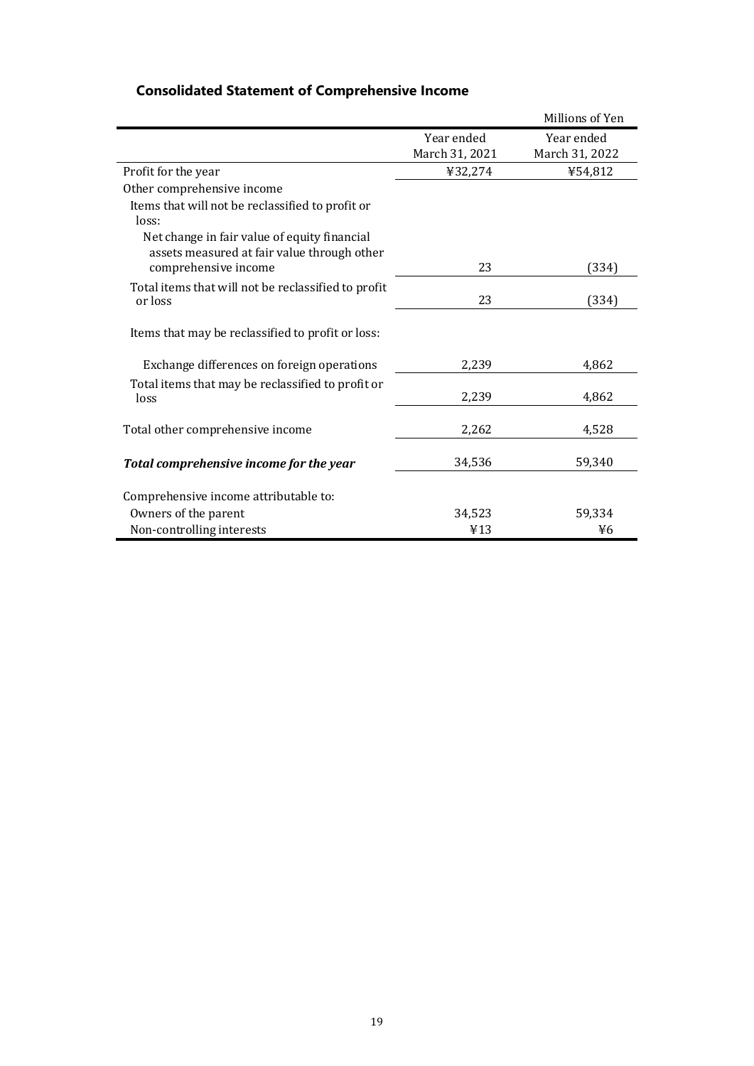|                                                                                                                     |                | Millions of Yen |
|---------------------------------------------------------------------------------------------------------------------|----------------|-----------------|
|                                                                                                                     | Year ended     | Year ended      |
|                                                                                                                     | March 31, 2021 | March 31, 2022  |
| Profit for the year                                                                                                 | ¥32,274        | ¥54,812         |
| Other comprehensive income                                                                                          |                |                 |
| Items that will not be reclassified to profit or<br>loss:                                                           |                |                 |
| Net change in fair value of equity financial<br>assets measured at fair value through other<br>comprehensive income | 23             | (334)           |
| Total items that will not be reclassified to profit<br>or loss                                                      | 23             | (334)           |
| Items that may be reclassified to profit or loss:                                                                   |                |                 |
| Exchange differences on foreign operations                                                                          | 2,239          | 4,862           |
| Total items that may be reclassified to profit or<br>loss                                                           | 2,239          | 4,862           |
| Total other comprehensive income                                                                                    | 2,262          | 4,528           |
| Total comprehensive income for the year                                                                             | 34,536         | 59,340          |
| Comprehensive income attributable to:                                                                               |                |                 |
| Owners of the parent                                                                                                | 34,523         | 59,334          |
| Non-controlling interests                                                                                           | 413            | ¥6              |

# **Consolidated Statement of Comprehensive Income**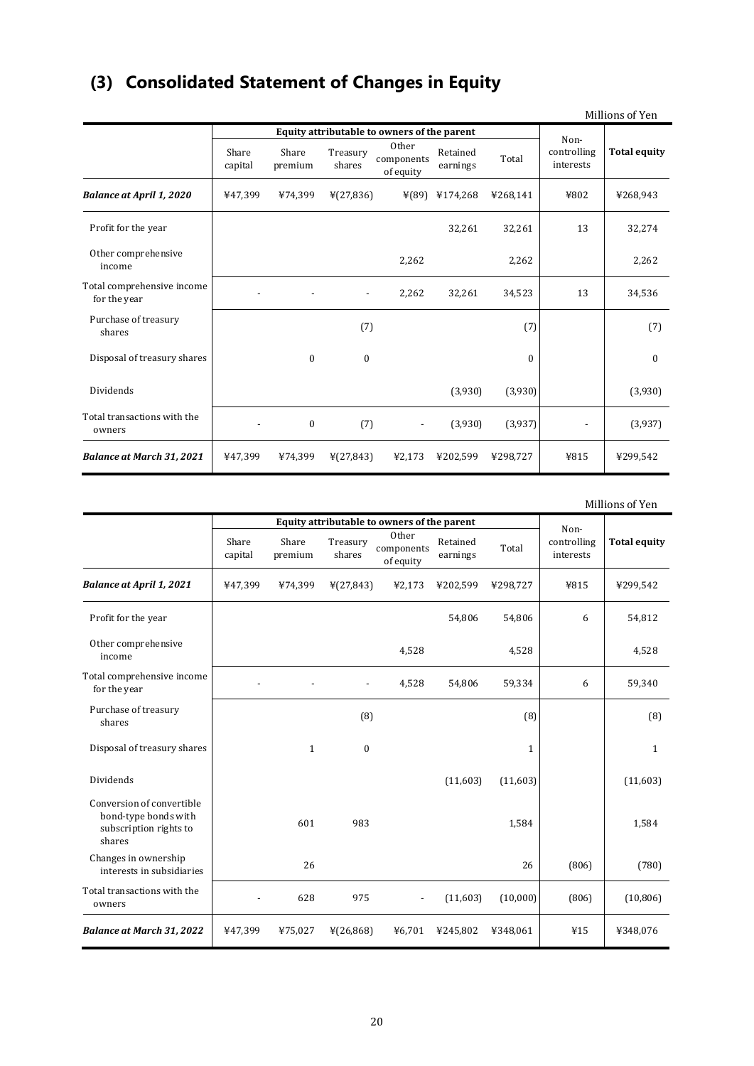# **(3) Consolidated Statement of Changes in Equity**

|                                            |                                             |                  |                          |                                  |                      |          |                          | Millions of Yen     |
|--------------------------------------------|---------------------------------------------|------------------|--------------------------|----------------------------------|----------------------|----------|--------------------------|---------------------|
|                                            | Equity attributable to owners of the parent |                  |                          |                                  |                      |          | Non-                     |                     |
|                                            | Share<br>capital                            | Share<br>premium | Treasury<br>shares       | Other<br>components<br>of equity | Retained<br>earnings | Total    | controlling<br>interests | <b>Total equity</b> |
| <b>Balance at April 1, 2020</b>            | ¥47,399                                     | ¥74,399          | ¥(27,836)                |                                  | ¥(89) ¥174,268       | ¥268,141 | ¥802                     | ¥268,943            |
| Profit for the year                        |                                             |                  |                          |                                  | 32,261               | 32,261   | 13                       | 32,274              |
| Other comprehensive<br>income              |                                             |                  |                          | 2,262                            |                      | 2,262    |                          | 2,262               |
| Total comprehensive income<br>for the year |                                             |                  | $\overline{\phantom{a}}$ | 2,262                            | 32,261               | 34,523   | 13                       | 34,536              |
| Purchase of treasury<br>shares             |                                             |                  | (7)                      |                                  |                      | (7)      |                          | (7)                 |
| Disposal of treasury shares                |                                             | $\Omega$         | $\Omega$                 |                                  |                      | $\Omega$ |                          | $\Omega$            |
| Dividends                                  |                                             |                  |                          |                                  | (3,930)              | (3,930)  |                          | (3,930)             |
| Total transactions with the<br>owners      |                                             | $\boldsymbol{0}$ | (7)                      | $\overline{\phantom{a}}$         | (3,930)              | (3,937)  |                          | (3,937)             |
| <b>Balance at March 31, 2021</b>           | ¥47,399                                     | ¥74,399          | ¥(27,843)                | ¥2,173                           | ¥202,599             | ¥298,727 | ¥815                     | ¥299,542            |

Millions of Yen

|                                                                                       |                                             |                  |                    |                                  |                      |              |                          | MINIONS OF TEH      |
|---------------------------------------------------------------------------------------|---------------------------------------------|------------------|--------------------|----------------------------------|----------------------|--------------|--------------------------|---------------------|
|                                                                                       | Equity attributable to owners of the parent |                  |                    |                                  |                      | Non-         |                          |                     |
|                                                                                       | Share<br>capital                            | Share<br>premium | Treasury<br>shares | Other<br>components<br>of equity | Retained<br>earnings | Total        | controlling<br>interests | <b>Total equity</b> |
| <b>Balance at April 1, 2021</b>                                                       | ¥47,399                                     | ¥74,399          | ¥(27,843)          | ¥2,173                           | ¥202,599             | ¥298,727     | ¥815                     | ¥299,542            |
| Profit for the year                                                                   |                                             |                  |                    |                                  | 54,806               | 54,806       | 6                        | 54,812              |
| Other comprehensive<br>income                                                         |                                             |                  |                    | 4,528                            |                      | 4,528        |                          | 4,528               |
| Total comprehensive income<br>for the year                                            |                                             |                  |                    | 4,528                            | 54,806               | 59,334       | 6                        | 59,340              |
| Purchase of treasury<br>shares                                                        |                                             |                  | (8)                |                                  |                      | (8)          |                          | (8)                 |
| Disposal of treasury shares                                                           |                                             | $\mathbf{1}$     | $\mathbf{0}$       |                                  |                      | $\mathbf{1}$ |                          | $\mathbf{1}$        |
| Dividends                                                                             |                                             |                  |                    |                                  | (11,603)             | (11,603)     |                          | (11,603)            |
| Conversion of convertible<br>bond-type bonds with<br>subscription rights to<br>shares |                                             | 601              | 983                |                                  |                      | 1,584        |                          | 1,584               |
| Changes in ownership<br>interests in subsidiaries                                     |                                             | 26               |                    |                                  |                      | 26           | (806)                    | (780)               |
| Total transactions with the<br>owners                                                 |                                             | 628              | 975                |                                  | (11,603)             | (10,000)     | (806)                    | (10, 806)           |
| <b>Balance at March 31, 2022</b>                                                      | ¥47,399                                     | ¥75,027          | ¥(26,868)          | ¥6,701                           | ¥245,802             | ¥348,061     | ¥15                      | ¥348,076            |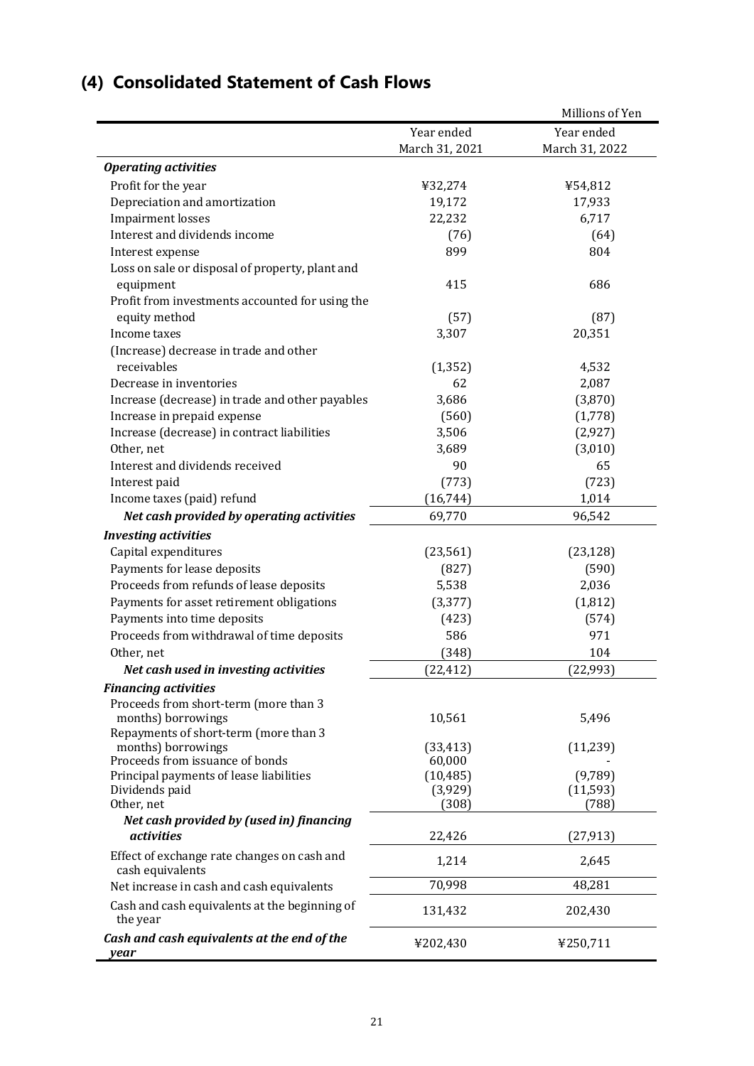|                                                           |                      | Millions of Yen      |
|-----------------------------------------------------------|----------------------|----------------------|
|                                                           | Year ended           | Year ended           |
|                                                           | March 31, 2021       | March 31, 2022       |
| <b>Operating activities</b>                               |                      |                      |
| Profit for the year                                       | ¥32,274              | ¥54,812              |
| Depreciation and amortization                             | 19,172               | 17,933               |
| <b>Impairment losses</b>                                  | 22,232               | 6,717                |
| Interest and dividends income                             | (76)                 | (64)                 |
| Interest expense                                          | 899                  | 804                  |
| Loss on sale or disposal of property, plant and           |                      |                      |
| equipment                                                 | 415                  | 686                  |
| Profit from investments accounted for using the           |                      |                      |
| equity method                                             | (57)                 | (87)                 |
| Income taxes                                              | 3,307                | 20,351               |
| (Increase) decrease in trade and other                    |                      |                      |
| receivables                                               | (1, 352)             | 4,532                |
| Decrease in inventories                                   | 62                   | 2,087                |
| Increase (decrease) in trade and other payables           | 3,686                | (3,870)              |
| Increase in prepaid expense                               | (560)                | (1,778)              |
| Increase (decrease) in contract liabilities               | 3,506                | (2, 927)             |
| Other, net                                                | 3,689                | (3,010)              |
| Interest and dividends received                           | 90                   | 65                   |
| Interest paid                                             | (773)                | (723)                |
| Income taxes (paid) refund                                | (16, 744)            | 1,014                |
| Net cash provided by operating activities                 | 69,770               | 96,542               |
| <b>Investing activities</b>                               |                      |                      |
| Capital expenditures                                      | (23, 561)            | (23, 128)            |
| Payments for lease deposits                               | (827)                | (590)                |
| Proceeds from refunds of lease deposits                   | 5,538                | 2,036                |
| Payments for asset retirement obligations                 | (3, 377)             | (1, 812)             |
| Payments into time deposits                               | (423)                | (574)                |
| Proceeds from withdrawal of time deposits                 | 586                  | 971                  |
| Other, net                                                | (348)                | 104                  |
| Net cash used in investing activities                     | (22, 412)            | (22, 993)            |
| <b>Financing activities</b>                               |                      |                      |
| Proceeds from short-term (more than 3                     |                      |                      |
| months) borrowings                                        | 10,561               | 5,496                |
| Repayments of short-term (more than 3                     |                      |                      |
| months) borrowings                                        | (33, 413)            | (11, 239)            |
| Proceeds from issuance of bonds                           | 60,000               |                      |
| Principal payments of lease liabilities<br>Dividends paid | (10, 485)<br>(3,929) | (9,789)<br>(11, 593) |
| Other, net                                                | (308)                | (788)                |
| Net cash provided by (used in) financing                  |                      |                      |
| <i>activities</i>                                         | 22,426               | (27, 913)            |
| Effect of exchange rate changes on cash and               |                      |                      |
| cash equivalents                                          | 1,214                | 2,645                |
| Net increase in cash and cash equivalents                 | 70,998               | 48,281               |
| Cash and cash equivalents at the beginning of<br>the year | 131,432              | 202,430              |
| Cash and cash equivalents at the end of the<br>year       | ¥202,430             | ¥250,711             |

# **(4) Consolidated Statement of Cash Flows**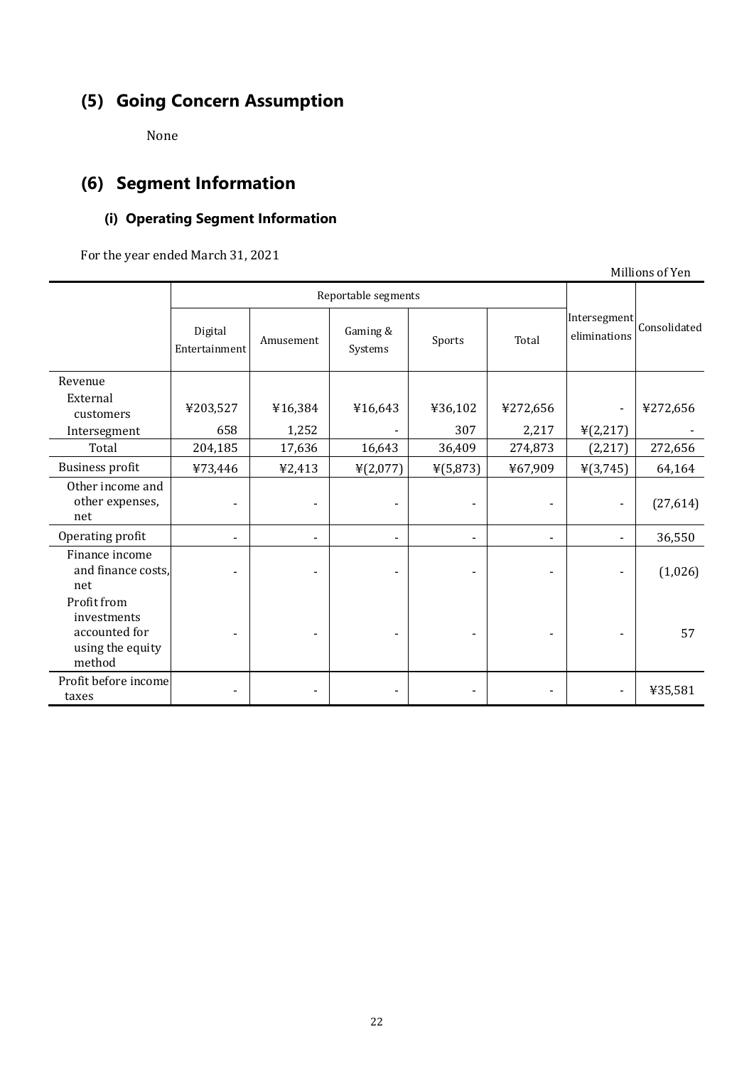# **(5) Going Concern Assumption**

None

# **(6) Segment Information**

# **(i) Operating Segment Information**

For the year ended March 31, 2021

Millions of Yen Reportable segments Intersegment Digital Amusement Gaming & Sports Total eliminations Consolidated Entertainment Amusement Gaming &  $Systems$  Sports Total Revenue External<br>customers customers  $\left[\begin{array}{c} \text{\#203,527} \\ \text{\#16,384} \end{array}\right]$   $\left[\begin{array}{c} \text{\#16,643} \\ \text{\#16,643} \end{array}\right]$   $\left[\begin{array}{c} \text{\#272,656} \\ \text{\#272,656} \end{array}\right]$  -  $\left[\begin{array}{c} \text{\#272,656} \\ \text{\#272,656} \end{array}\right]$ Intersegment 658 1,252 - 307 2,217  $\frac{1}{2}$  (2,217) Total 204,185 17,636 16,643 36,409 274,873 (2,217) 272,656 Business profit ¥73,446 ¥2,413 ¥(2,077) ¥(5,873) ¥67,909 ¥(3,745) 64,164 Other income and other expenses, net - | - | - | - | - | - | (27,614) Operating profit 1 1 26,550 Finance income and finance costs, net - | - | - | - | - | - | (1,026) Profit from investments accounted for using the equity method - | - | - | - | - | 57 Profit before income taxes  $\begin{vmatrix} 1 & 1 & 1 \\ 1 & 1 & 1 \\ 1 & 1 & 1 \end{vmatrix}$   $\begin{vmatrix} 1 & 1 & 1 \\ 1 & 1 & 1 \\ 1 & 1 & 1 \end{vmatrix}$   $\begin{vmatrix} 1 & 1 & 1 \\ 1 & 1 & 1 \\ 1 & 1 & 1 \end{vmatrix}$   $\begin{vmatrix} 1 & 1 & 1 \\ 1 & 1 & 1 \\ 1 & 1 & 1 \end{vmatrix}$   $\begin{vmatrix} 1 & 1 & 1 \\ 1 & 1 & 1 \\ 1 & 1 & 1 \end{vmatrix}$   $\begin{vmatrix} 1 &$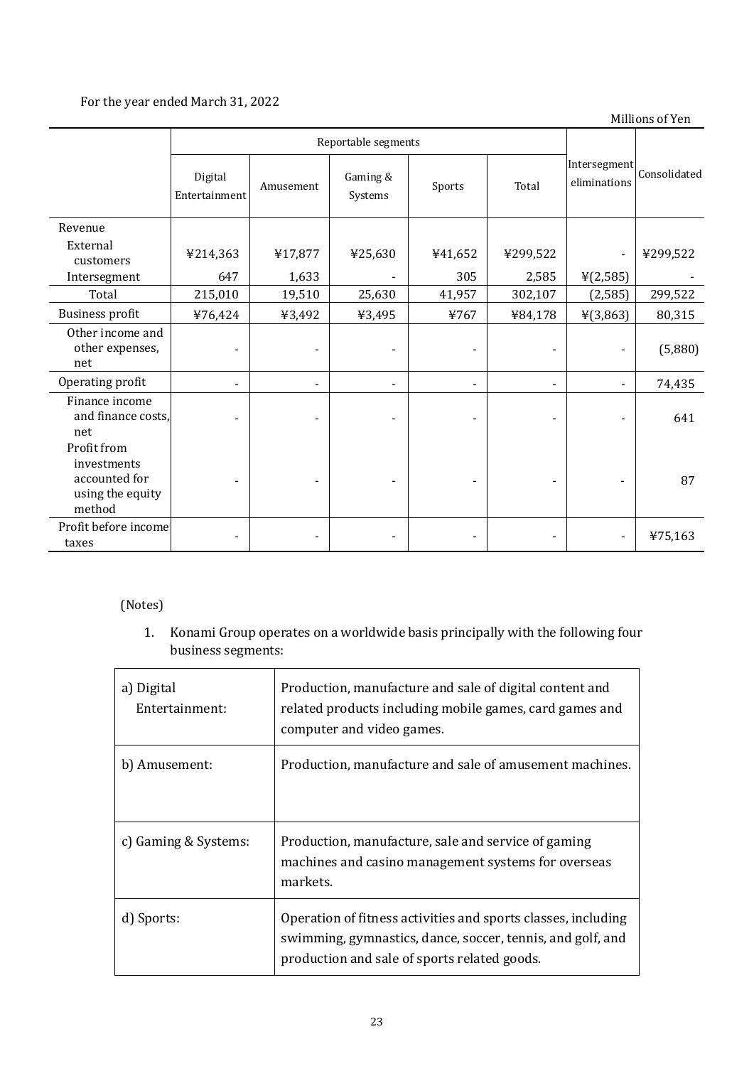# For the year ended March 31, 2022

Millions of Yen

|                                                                           | Reportable segments      |                          |                     |                              |                          |                              |              |
|---------------------------------------------------------------------------|--------------------------|--------------------------|---------------------|------------------------------|--------------------------|------------------------------|--------------|
|                                                                           | Digital<br>Entertainment | Amusement                | Gaming &<br>Systems | Sports                       | Total                    | Intersegment<br>eliminations | Consolidated |
| Revenue                                                                   |                          |                          |                     |                              |                          |                              |              |
| External<br>customers                                                     | ¥214,363                 | ¥17,877                  | ¥25,630             | ¥41,652                      | ¥299,522                 | $\qquad \qquad \blacksquare$ | ¥299,522     |
| Intersegment                                                              | 647                      | 1,633                    |                     | 305                          | 2,585                    | ¥(2,585)                     |              |
| Total                                                                     | 215,010                  | 19,510                   | 25,630              | 41,957                       | 302,107                  | (2,585)                      | 299,522      |
| <b>Business profit</b>                                                    | ¥76,424                  | ¥3,492                   | ¥3,495              | ¥767                         | ¥84,178                  | ¥(3,863)                     | 80,315       |
| Other income and<br>other expenses,<br>net                                |                          |                          |                     |                              |                          |                              | (5,880)      |
| Operating profit                                                          |                          |                          |                     | $\qquad \qquad \blacksquare$ |                          |                              | 74,435       |
| Finance income<br>and finance costs,<br>net                               |                          |                          |                     |                              |                          |                              | 641          |
| Profit from<br>investments<br>accounted for<br>using the equity<br>method |                          |                          |                     |                              |                          |                              | 87           |
| Profit before income<br>taxes                                             | ۰                        | $\overline{\phantom{0}}$ |                     | $\qquad \qquad \blacksquare$ | $\overline{\phantom{a}}$ | $\overline{\phantom{a}}$     | ¥75,163      |

# (Notes)

1. Konami Group operates on a worldwide basis principally with the following four business segments:

| a) Digital<br>Entertainment: | Production, manufacture and sale of digital content and<br>related products including mobile games, card games and<br>computer and video games.                             |
|------------------------------|-----------------------------------------------------------------------------------------------------------------------------------------------------------------------------|
| b) Amusement:                | Production, manufacture and sale of amusement machines.                                                                                                                     |
| c) Gaming & Systems:         | Production, manufacture, sale and service of gaming<br>machines and casino management systems for overseas<br>markets.                                                      |
| d) Sports:                   | Operation of fitness activities and sports classes, including<br>swimming, gymnastics, dance, soccer, tennis, and golf, and<br>production and sale of sports related goods. |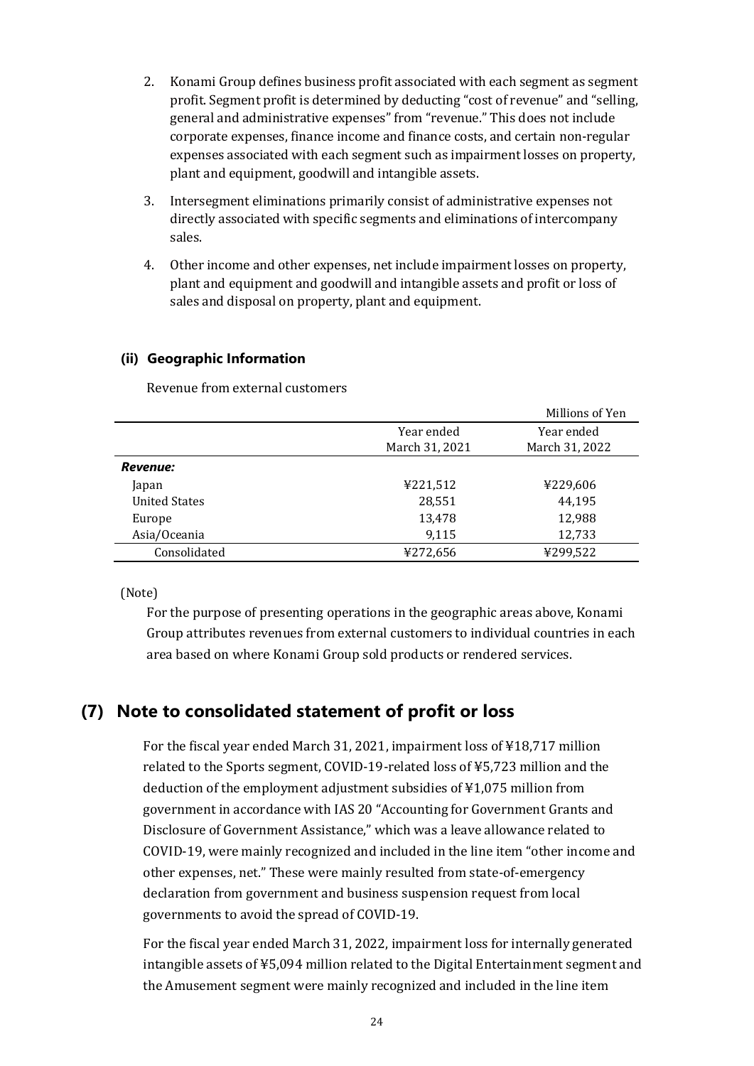- 2. Konami Group defines business profit associated with each segment as segment profit. Segment profit is determined by deducting "cost of revenue" and "selling, general and administrative expenses" from "revenue." This does not include corporate expenses, finance income and finance costs, and certain non-regular expenses associated with each segment such as impairment losses on property, plant and equipment, goodwill and intangible assets.
- 3. Intersegment eliminations primarily consist of administrative expenses not directly associated with specific segments and eliminations of intercompany sales.
- 4. Other income and other expenses, net include impairment losses on property, plant and equipment and goodwill and intangible assets and profit or loss of sales and disposal on property, plant and equipment.

### **(ii) Geographic Information**

Revenue from external customers

|                      |                | Millions of Yen |
|----------------------|----------------|-----------------|
|                      | Year ended     | Year ended      |
|                      | March 31, 2021 | March 31, 2022  |
| Revenue:             |                |                 |
| Japan                | ¥221,512       | ¥229,606        |
| <b>United States</b> | 28,551         | 44,195          |
| Europe               | 13,478         | 12,988          |
| Asia/Oceania         | 9,115          | 12,733          |
| Consolidated         | ¥272,656       | ¥299,522        |

(Note)

For the purpose of presenting operations in the geographic areas above, Konami Group attributes revenues from external customers to individual countries in each area based on where Konami Group sold products or rendered services.

# **(7) Note to consolidated statement of profit or loss**

For the fiscal year ended March 31, 2021, impairment loss of ¥18,717 million related to the Sports segment, COVID-19-related loss of ¥5,723 million and the deduction of the employment adjustment subsidies of ¥1,075 million from government in accordance with IAS 20 "Accounting for Government Grants and Disclosure of Government Assistance," which was a leave allowance related to COVID-19, were mainly recognized and included in the line item "other income and other expenses, net." These were mainly resulted from state-of-emergency declaration from government and business suspension request from local governments to avoid the spread of COVID-19.

For the fiscal year ended March 31, 2022, impairment loss for internally generated intangible assets of ¥5,094 million related to the Digital Entertainment segment and the Amusement segment were mainly recognized and included in the line item